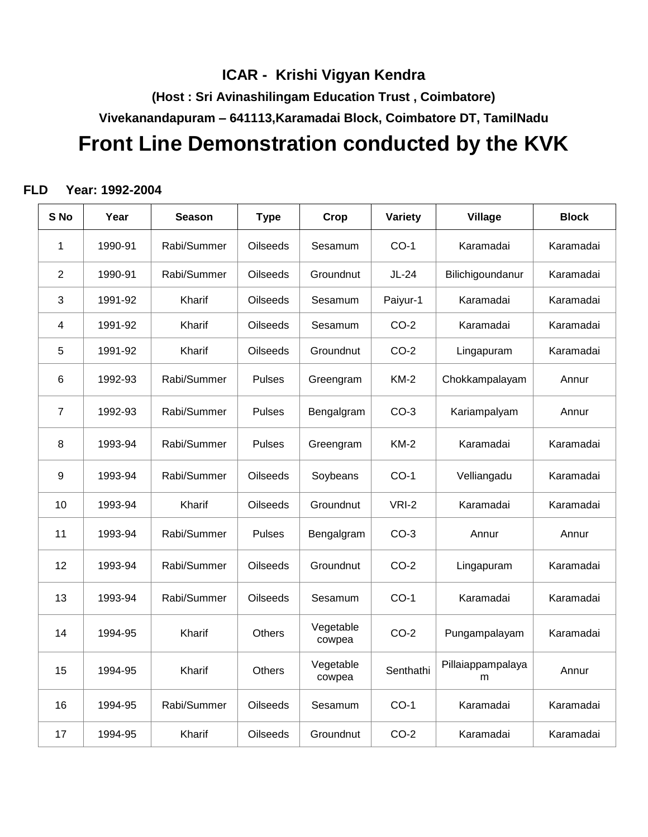## **ICAR - Krishi Vigyan Kendra**

**(Host : Sri Avinashilingam Education Trust , Coimbatore)**

**Vivekanandapuram – 641113,Karamadai Block, Coimbatore DT, TamilNadu**

# **Front Line Demonstration conducted by the KVK**

#### **FLD Year: 1992-2004**

| S <sub>No</sub> | Year    | <b>Season</b> | <b>Type</b>     | Crop                | Variety   | <b>Village</b>         | <b>Block</b> |
|-----------------|---------|---------------|-----------------|---------------------|-----------|------------------------|--------------|
| 1               | 1990-91 | Rabi/Summer   | <b>Oilseeds</b> | Sesamum             | $CO-1$    | Karamadai              | Karamadai    |
| $\overline{2}$  | 1990-91 | Rabi/Summer   | <b>Oilseeds</b> | Groundnut           | $JL-24$   | Bilichigoundanur       | Karamadai    |
| 3               | 1991-92 | Kharif        | <b>Oilseeds</b> | Sesamum             | Paiyur-1  | Karamadai              | Karamadai    |
| 4               | 1991-92 | Kharif        | <b>Oilseeds</b> | Sesamum             | $CO-2$    | Karamadai              | Karamadai    |
| 5               | 1991-92 | Kharif        | <b>Oilseeds</b> | Groundnut           | $CO-2$    | Lingapuram             | Karamadai    |
| 6               | 1992-93 | Rabi/Summer   | <b>Pulses</b>   | Greengram           | $KM-2$    | Chokkampalayam         | Annur        |
| $\overline{7}$  | 1992-93 | Rabi/Summer   | <b>Pulses</b>   | Bengalgram          | $CO-3$    | Kariampalyam           | Annur        |
| 8               | 1993-94 | Rabi/Summer   | <b>Pulses</b>   | Greengram           | $KM-2$    | Karamadai              | Karamadai    |
| 9               | 1993-94 | Rabi/Summer   | <b>Oilseeds</b> | Soybeans            | $CO-1$    | Velliangadu            | Karamadai    |
| 10              | 1993-94 | Kharif        | Oilseeds        | Groundnut           | VRI-2     | Karamadai              | Karamadai    |
| 11              | 1993-94 | Rabi/Summer   | <b>Pulses</b>   | Bengalgram          | $CO-3$    | Annur                  | Annur        |
| 12              | 1993-94 | Rabi/Summer   | <b>Oilseeds</b> | Groundnut           | $CO-2$    | Lingapuram             | Karamadai    |
| 13              | 1993-94 | Rabi/Summer   | <b>Oilseeds</b> | Sesamum             | $CO-1$    | Karamadai              | Karamadai    |
| 14              | 1994-95 | Kharif        | Others          | Vegetable<br>cowpea | $CO-2$    | Pungampalayam          | Karamadai    |
| 15              | 1994-95 | Kharif        | <b>Others</b>   | Vegetable<br>cowpea | Senthathi | Pillaiappampalaya<br>m | Annur        |
| 16              | 1994-95 | Rabi/Summer   | <b>Oilseeds</b> | Sesamum             | $CO-1$    | Karamadai              | Karamadai    |
| 17              | 1994-95 | Kharif        | Oilseeds        | Groundnut           | $CO-2$    | Karamadai              | Karamadai    |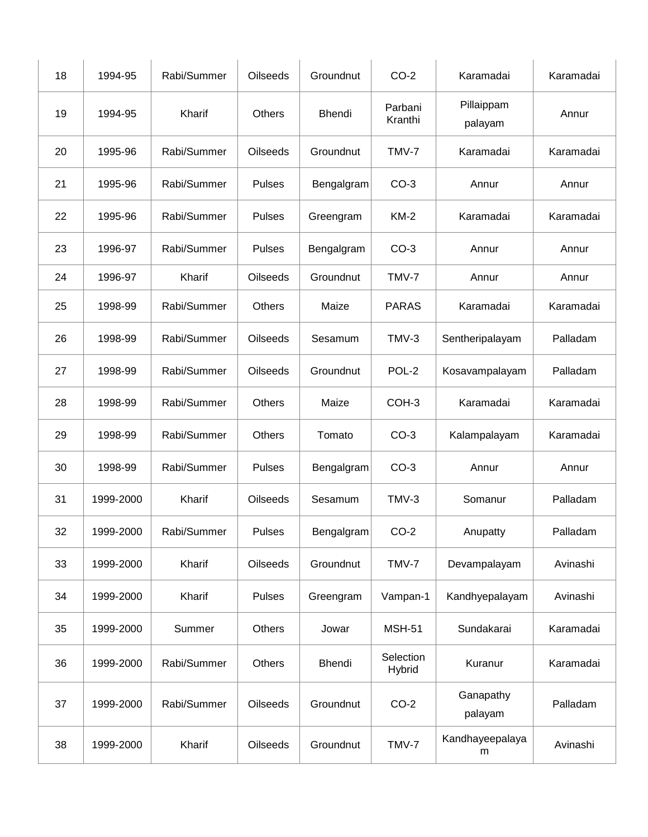| 18 | 1994-95   | Rabi/Summer | Oilseeds        | Groundnut  | $CO-2$              | Karamadai             | Karamadai |
|----|-----------|-------------|-----------------|------------|---------------------|-----------------------|-----------|
| 19 | 1994-95   | Kharif      | Others          | Bhendi     | Parbani<br>Kranthi  | Pillaippam<br>palayam | Annur     |
| 20 | 1995-96   | Rabi/Summer | Oilseeds        | Groundnut  | TMV-7               | Karamadai             | Karamadai |
| 21 | 1995-96   | Rabi/Summer | <b>Pulses</b>   | Bengalgram | $CO-3$              | Annur                 | Annur     |
| 22 | 1995-96   | Rabi/Summer | <b>Pulses</b>   | Greengram  | $KM-2$              | Karamadai             | Karamadai |
| 23 | 1996-97   | Rabi/Summer | Pulses          | Bengalgram | $CO-3$              | Annur                 | Annur     |
| 24 | 1996-97   | Kharif      | Oilseeds        | Groundnut  | TMV-7               | Annur                 | Annur     |
| 25 | 1998-99   | Rabi/Summer | Others          | Maize      | <b>PARAS</b>        | Karamadai             | Karamadai |
| 26 | 1998-99   | Rabi/Summer | <b>Oilseeds</b> | Sesamum    | TMV-3               | Sentheripalayam       | Palladam  |
| 27 | 1998-99   | Rabi/Summer | Oilseeds        | Groundnut  | POL-2               | Kosavampalayam        | Palladam  |
| 28 | 1998-99   | Rabi/Summer | Others          | Maize      | COH-3               | Karamadai             | Karamadai |
| 29 | 1998-99   | Rabi/Summer | Others          | Tomato     | $CO-3$              | Kalampalayam          | Karamadai |
| 30 | 1998-99   | Rabi/Summer | Pulses          | Bengalgram | $CO-3$              | Annur                 | Annur     |
| 31 | 1999-2000 | Kharif      | Oilseeds        | Sesamum    | $TMV-3$             | Somanur               | Palladam  |
| 32 | 1999-2000 | Rabi/Summer | Pulses          | Bengalgram | $CO-2$              | Anupatty              | Palladam  |
| 33 | 1999-2000 | Kharif      | Oilseeds        | Groundnut  | TMV-7               | Devampalayam          | Avinashi  |
| 34 | 1999-2000 | Kharif      | Pulses          | Greengram  | Vampan-1            | Kandhyepalayam        | Avinashi  |
| 35 | 1999-2000 | Summer      | Others          | Jowar      | <b>MSH-51</b>       | Sundakarai            | Karamadai |
| 36 | 1999-2000 | Rabi/Summer | Others          | Bhendi     | Selection<br>Hybrid | Kuranur               | Karamadai |
| 37 | 1999-2000 | Rabi/Summer | Oilseeds        | Groundnut  | $CO-2$              | Ganapathy<br>palayam  | Palladam  |
| 38 | 1999-2000 | Kharif      | Oilseeds        | Groundnut  | TMV-7               | Kandhayeepalaya<br>m  | Avinashi  |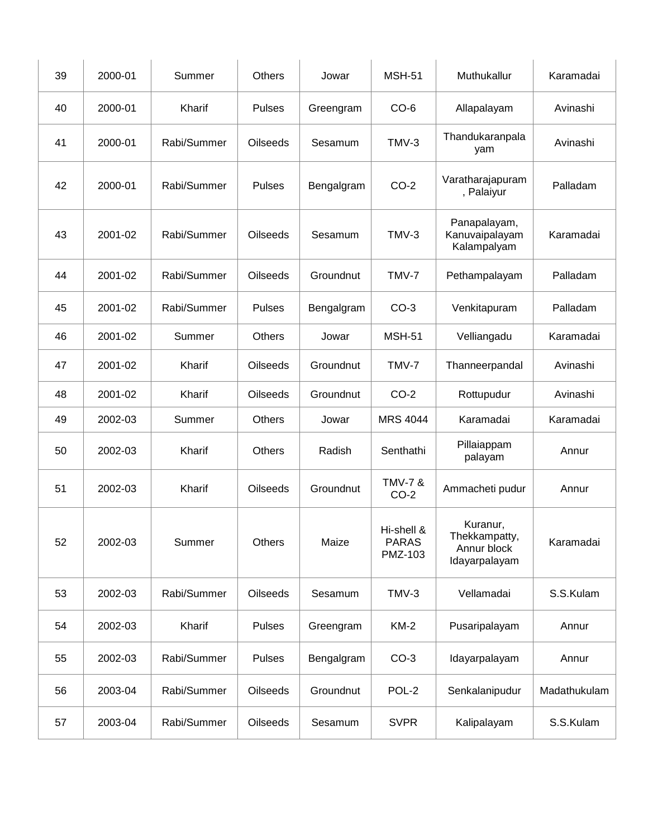| 39 | 2000-01 | Summer      | <b>Others</b>   | Jowar      | <b>MSH-51</b>                         | Muthukallur                                               | Karamadai    |
|----|---------|-------------|-----------------|------------|---------------------------------------|-----------------------------------------------------------|--------------|
| 40 | 2000-01 | Kharif      | <b>Pulses</b>   | Greengram  | $CO-6$                                | Allapalayam                                               | Avinashi     |
| 41 | 2000-01 | Rabi/Summer | <b>Oilseeds</b> | Sesamum    | TMV-3                                 | Thandukaranpala<br>yam                                    | Avinashi     |
| 42 | 2000-01 | Rabi/Summer | <b>Pulses</b>   | Bengalgram | $CO-2$                                | Varatharajapuram<br>, Palaiyur                            | Palladam     |
| 43 | 2001-02 | Rabi/Summer | Oilseeds        | Sesamum    | TMV-3                                 | Panapalayam,<br>Kanuvaipalayam<br>Kalampalyam             | Karamadai    |
| 44 | 2001-02 | Rabi/Summer | <b>Oilseeds</b> | Groundnut  | TMV-7                                 | Pethampalayam                                             | Palladam     |
| 45 | 2001-02 | Rabi/Summer | <b>Pulses</b>   | Bengalgram | $CO-3$                                | Venkitapuram                                              | Palladam     |
| 46 | 2001-02 | Summer      | Others          | Jowar      | <b>MSH-51</b>                         | Velliangadu                                               | Karamadai    |
| 47 | 2001-02 | Kharif      | <b>Oilseeds</b> | Groundnut  | TMV-7                                 | Thanneerpandal                                            | Avinashi     |
| 48 | 2001-02 | Kharif      | <b>Oilseeds</b> | Groundnut  | $CO-2$                                | Rottupudur                                                | Avinashi     |
| 49 | 2002-03 | Summer      | Others          | Jowar      | <b>MRS 4044</b>                       | Karamadai                                                 | Karamadai    |
| 50 | 2002-03 | Kharif      | Others          | Radish     | Senthathi                             | Pillaiappam<br>palayam                                    | Annur        |
| 51 | 2002-03 | Kharif      | <b>Oilseeds</b> | Groundnut  | <b>TMV-7 &amp;</b><br>$CO-2$          | Ammacheti pudur                                           | Annur        |
| 52 | 2002-03 | Summer      | Others          | Maize      | Hi-shell &<br><b>PARAS</b><br>PMZ-103 | Kuranur,<br>Thekkampatty,<br>Annur block<br>Idayarpalayam | Karamadai    |
| 53 | 2002-03 | Rabi/Summer | Oilseeds        | Sesamum    | TMV-3                                 | Vellamadai                                                | S.S.Kulam    |
| 54 | 2002-03 | Kharif      | Pulses          | Greengram  | <b>KM-2</b>                           | Pusaripalayam                                             | Annur        |
| 55 | 2002-03 | Rabi/Summer | Pulses          | Bengalgram | $CO-3$                                | Idayarpalayam                                             | Annur        |
| 56 | 2003-04 | Rabi/Summer | Oilseeds        | Groundnut  | POL-2                                 | Senkalanipudur                                            | Madathukulam |
| 57 | 2003-04 | Rabi/Summer | Oilseeds        | Sesamum    | <b>SVPR</b>                           | Kalipalayam                                               | S.S.Kulam    |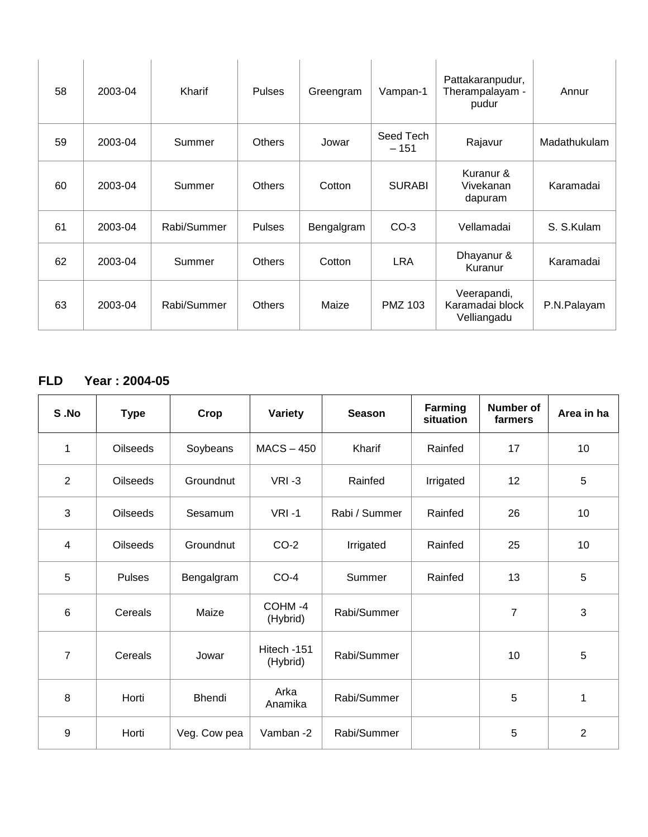| 58 | 2003-04 | Kharif      | <b>Pulses</b> | Greengram  | Vampan-1            | Pattakaranpudur,<br>Therampalayam -<br>pudur  | Annur        |
|----|---------|-------------|---------------|------------|---------------------|-----------------------------------------------|--------------|
| 59 | 2003-04 | Summer      | <b>Others</b> | Jowar      | Seed Tech<br>$-151$ | Rajavur                                       | Madathukulam |
| 60 | 2003-04 | Summer      | <b>Others</b> | Cotton     | <b>SURABI</b>       | Kuranur &<br>Vivekanan<br>dapuram             | Karamadai    |
| 61 | 2003-04 | Rabi/Summer | <b>Pulses</b> | Bengalgram | $CO-3$              | Vellamadai                                    | S. S. Kulam  |
| 62 | 2003-04 | Summer      | <b>Others</b> | Cotton     | <b>LRA</b>          | Dhayanur &<br>Kuranur                         | Karamadai    |
| 63 | 2003-04 | Rabi/Summer | <b>Others</b> | Maize      | <b>PMZ 103</b>      | Veerapandi,<br>Karamadai block<br>Velliangadu | P.N.Palayam  |

## **FLD Year : 2004-05**

| S.No            | <b>Type</b>     | Crop          | <b>Variety</b>          | <b>Season</b> | Farming<br>situation | <b>Number of</b><br>farmers | Area in ha     |
|-----------------|-----------------|---------------|-------------------------|---------------|----------------------|-----------------------------|----------------|
| 1               | <b>Oilseeds</b> | Soybeans      | $MACS - 450$            | Kharif        | Rainfed              | 17                          | 10             |
| $\overline{2}$  | Oilseeds        | Groundnut     | $VRI - 3$               | Rainfed       | Irrigated            | 12                          | $\overline{5}$ |
| 3               | <b>Oilseeds</b> | Sesamum       | $VRI - 1$               | Rabi / Summer | Rainfed              | 26                          | 10             |
| $\overline{4}$  | <b>Oilseeds</b> | Groundnut     | $CO-2$                  | Irrigated     | Rainfed              | 25                          | 10             |
| 5               | <b>Pulses</b>   | Bengalgram    | $CO-4$                  | Summer        | Rainfed              | 13                          | 5              |
| $6\phantom{1}6$ | Cereals         | Maize         | COHM-4<br>(Hybrid)      | Rabi/Summer   |                      | $\overline{7}$              | 3              |
| $\overline{7}$  | Cereals         | Jowar         | Hitech -151<br>(Hybrid) | Rabi/Summer   |                      | 10                          | 5              |
| 8               | Horti           | <b>Bhendi</b> | Arka<br>Anamika         | Rabi/Summer   |                      | 5                           | 1              |
| 9               | Horti           | Veg. Cow pea  | Vamban-2                | Rabi/Summer   |                      | 5                           | $\overline{2}$ |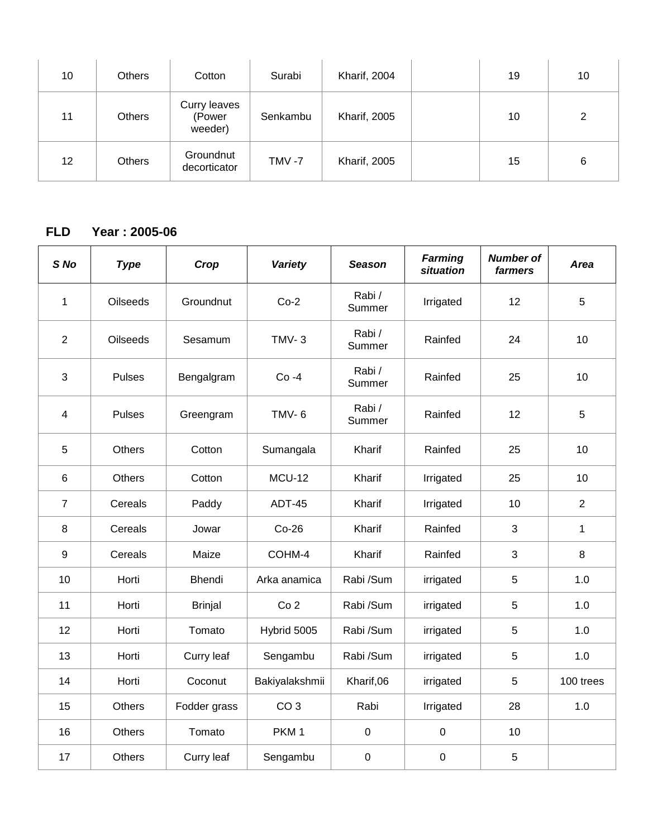| 10 | <b>Others</b> | Cotton                            | Surabi   | Kharif, 2004        | 19 | 10             |
|----|---------------|-----------------------------------|----------|---------------------|----|----------------|
| 11 | <b>Others</b> | Curry leaves<br>(Power<br>weeder) | Senkambu | <b>Kharif, 2005</b> | 10 | $\overline{2}$ |
| 12 | <b>Others</b> | Groundnut<br>decorticator         | TMV-7    | <b>Kharif, 2005</b> | 15 | 6              |

#### **FLD Year : 2005-06**

| S <sub>No</sub>         | <b>Type</b>     | Crop           | Variety          | <b>Season</b>   | <b>Farming</b><br>situation | <b>Number of</b><br>farmers | Area           |
|-------------------------|-----------------|----------------|------------------|-----------------|-----------------------------|-----------------------------|----------------|
| $\mathbf 1$             | <b>Oilseeds</b> | Groundnut      | $Co-2$           | Rabi/<br>Summer | Irrigated                   | 12                          | 5              |
| $\overline{2}$          | Oilseeds        | Sesamum        | $TMV-3$          | Rabi/<br>Summer | Rainfed                     | 24                          | 10             |
| 3                       | <b>Pulses</b>   | Bengalgram     | $Co -4$          | Rabi/<br>Summer | Rainfed                     | 25                          | 10             |
| $\overline{\mathbf{4}}$ | <b>Pulses</b>   | Greengram      | <b>TMV-6</b>     | Rabi/<br>Summer | Rainfed                     | 12                          | 5              |
| 5                       | <b>Others</b>   | Cotton         | Sumangala        | Kharif          | Rainfed                     | 25                          | 10             |
| 6                       | <b>Others</b>   | Cotton         | <b>MCU-12</b>    | Kharif          | Irrigated                   | 25                          | 10             |
| $\overline{7}$          | Cereals         | Paddy          | <b>ADT-45</b>    | Kharif          | Irrigated                   | 10                          | $\overline{2}$ |
| 8                       | Cereals         | Jowar          | $Co-26$          | Kharif          | Rainfed                     | 3                           | 1              |
| $\boldsymbol{9}$        | Cereals         | Maize          | COHM-4           | Kharif          | Rainfed                     | 3                           | $\,8\,$        |
| 10                      | Horti           | Bhendi         | Arka anamica     | Rabi /Sum       | irrigated                   | 5                           | 1.0            |
| 11                      | Horti           | <b>Brinjal</b> | Co <sub>2</sub>  | Rabi /Sum       | irrigated                   | 5                           | 1.0            |
| 12                      | Horti           | Tomato         | Hybrid 5005      | Rabi /Sum       | irrigated                   | 5                           | 1.0            |
| 13                      | Horti           | Curry leaf     | Sengambu         | Rabi /Sum       | irrigated                   | 5                           | 1.0            |
| 14                      | Horti           | Coconut        | Bakiyalakshmii   | Kharif,06       | irrigated                   | 5                           | 100 trees      |
| 15                      | <b>Others</b>   | Fodder grass   | CO <sub>3</sub>  | Rabi            | Irrigated                   | 28                          | 1.0            |
| 16                      | <b>Others</b>   | Tomato         | PKM <sub>1</sub> | $\pmb{0}$       | $\pmb{0}$                   | 10                          |                |
| 17                      | <b>Others</b>   | Curry leaf     | Sengambu         | $\mathbf 0$     | $\pmb{0}$                   | 5                           |                |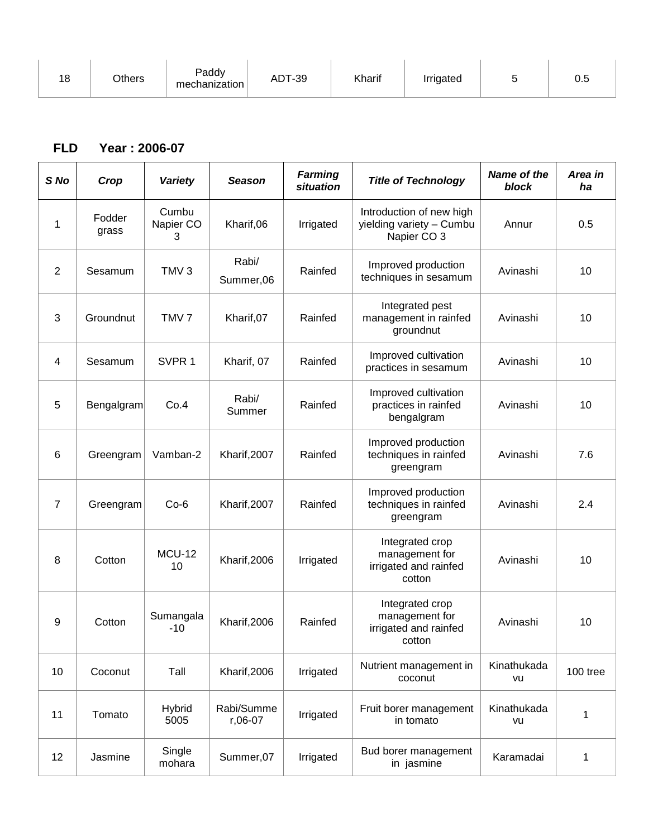|    |               | Paddy         |               |        |           |   |     |
|----|---------------|---------------|---------------|--------|-----------|---|-----|
| 18 | <b>つthers</b> | mechanization | <b>ADT-39</b> | Kharif | Irrigated | ◡ | υ.υ |

#### **FLD Year : 2006-07**

| S <sub>No</sub> | Crop            | Variety                 | <b>Season</b>         | <b>Farming</b><br>situation | <b>Title of Technology</b>                                           | Name of the<br>block | Area in<br>ha |
|-----------------|-----------------|-------------------------|-----------------------|-----------------------------|----------------------------------------------------------------------|----------------------|---------------|
| 1               | Fodder<br>grass | Cumbu<br>Napier CO<br>3 | Kharif,06             | Irrigated                   | Introduction of new high<br>yielding variety - Cumbu<br>Napier CO 3  | Annur                | 0.5           |
| 2               | Sesamum         | TMV <sub>3</sub>        | Rabi/<br>Summer,06    | Rainfed                     | Improved production<br>techniques in sesamum                         | Avinashi             | 10            |
| 3               | Groundnut       | TMV <sub>7</sub>        | Kharif, 07            | Rainfed                     | Integrated pest<br>management in rainfed<br>groundnut                | Avinashi             | 10            |
| 4               | Sesamum         | SVPR <sub>1</sub>       | Kharif, 07            | Rainfed                     | Improved cultivation<br>practices in sesamum                         | Avinashi             | 10            |
| 5               | Bengalgram      | Co.4                    | Rabi/<br>Summer       | Rainfed                     | Improved cultivation<br>practices in rainfed<br>bengalgram           | Avinashi             | 10            |
| 6               | Greengram       | Vamban-2                | Kharif, 2007          | Rainfed                     | Improved production<br>techniques in rainfed<br>greengram            | Avinashi             | 7.6           |
| $\overline{7}$  | Greengram       | $Co-6$                  | Kharif, 2007          | Rainfed                     | Improved production<br>techniques in rainfed<br>greengram            | Avinashi             | 2.4           |
| 8               | Cotton          | <b>MCU-12</b><br>10     | Kharif, 2006          | Irrigated                   | Integrated crop<br>management for<br>irrigated and rainfed<br>cotton | Avinashi             | 10            |
| 9               | Cotton          | Sumangala<br>$-10$      | Kharif, 2006          | Rainfed                     | Integrated crop<br>management for<br>irrigated and rainfed<br>cotton | Avinashi             | 10            |
| 10              | Coconut         | Tall                    | Kharif, 2006          | Irrigated                   | Nutrient management in<br>coconut                                    | Kinathukada<br>vu    | 100 tree      |
| 11              | Tomato          | Hybrid<br>5005          | Rabi/Summe<br>r,06-07 | Irrigated                   | Fruit borer management<br>in tomato                                  | Kinathukada<br>vu    | 1             |
| 12              | Jasmine         | Single<br>mohara        | Summer,07             | Irrigated                   | Bud borer management<br>in jasmine                                   | Karamadai            | 1             |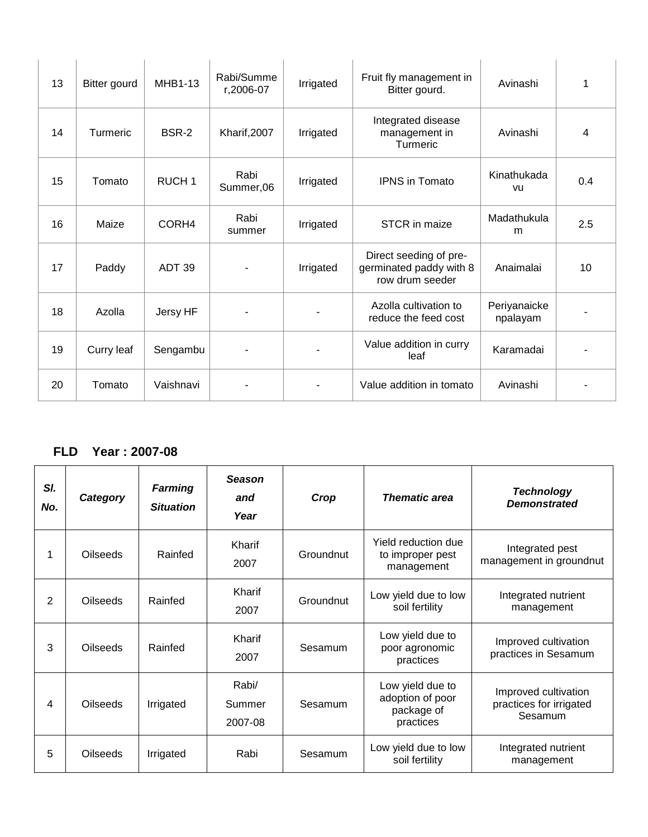| 13 | Bitter gourd | MHB1-13           | Rabi/Summe<br>r,2006-07 | Irrigated | Fruit fly management in<br>Bitter gourd.                             | Avinashi                 | 1   |
|----|--------------|-------------------|-------------------------|-----------|----------------------------------------------------------------------|--------------------------|-----|
| 14 | Turmeric     | BSR-2             | Kharif, 2007            | Irrigated | Integrated disease<br>management in<br>Turmeric                      | Avinashi                 | 4   |
| 15 | Tomato       | RUCH <sub>1</sub> | Rabi<br>Summer,06       | Irrigated | <b>IPNS</b> in Tomato                                                | Kinathukada<br>vu        | 0.4 |
| 16 | Maize        | CORH4             | Rabi<br>summer          | Irrigated | STCR in maize                                                        | Madathukula<br>m         | 2.5 |
| 17 | Paddy        | ADT <sub>39</sub> |                         | Irrigated | Direct seeding of pre-<br>germinated paddy with 8<br>row drum seeder | Anaimalai                | 10  |
| 18 | Azolla       | Jersy HF          |                         |           | Azolla cultivation to<br>reduce the feed cost                        | Periyanaicke<br>npalayam |     |
| 19 | Curry leaf   | Sengambu          |                         |           | Value addition in curry<br>leaf                                      | Karamadai                |     |
| 20 | Tomato       | Vaishnavi         |                         |           | Value addition in tomato                                             | Avinashi                 |     |

#### **FLD Year : 2007-08**

| SI.<br>No.     | Category        | <b>Farming</b><br><b>Situation</b> | <b>Season</b><br>and<br>Year | Crop      | <b>Thematic area</b>                                            | <b>Technology</b><br><b>Demonstrated</b>                   |
|----------------|-----------------|------------------------------------|------------------------------|-----------|-----------------------------------------------------------------|------------------------------------------------------------|
| 1              | <b>Oilseeds</b> | Rainfed                            | Kharif<br>2007               | Groundnut | Yield reduction due<br>to improper pest<br>management           | Integrated pest<br>management in groundnut                 |
| $\overline{2}$ | <b>Oilseeds</b> | Rainfed                            | Kharif<br>2007               | Groundnut | Low yield due to low<br>soil fertility                          | Integrated nutrient<br>management                          |
| 3              | <b>Oilseeds</b> | Rainfed                            | Kharif<br>2007               | Sesamum   | Low yield due to<br>poor agronomic<br>practices                 | Improved cultivation<br>practices in Sesamum               |
| 4              | <b>Oilseeds</b> | Irrigated                          | Rabi/<br>Summer<br>2007-08   | Sesamum   | Low yield due to<br>adoption of poor<br>package of<br>practices | Improved cultivation<br>practices for irrigated<br>Sesamum |
| 5              | <b>Oilseeds</b> | Irrigated                          | Rabi                         | Sesamum   | Low yield due to low<br>soil fertility                          | Integrated nutrient<br>management                          |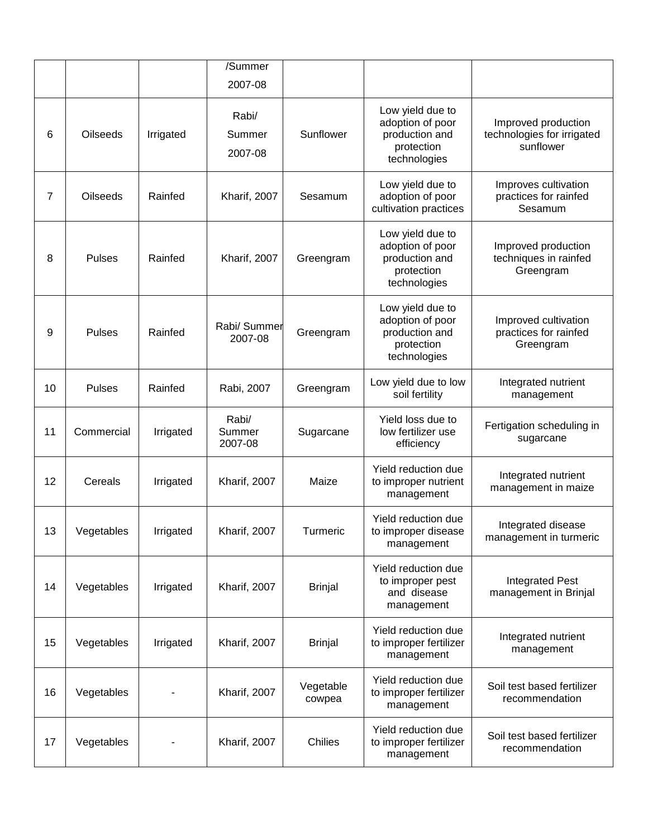|                |                 |           | /Summer<br>2007-08         |                     |                                                                                      |                                                                |
|----------------|-----------------|-----------|----------------------------|---------------------|--------------------------------------------------------------------------------------|----------------------------------------------------------------|
| 6              | <b>Oilseeds</b> | Irrigated | Rabi/<br>Summer<br>2007-08 | Sunflower           | Low yield due to<br>adoption of poor<br>production and<br>protection<br>technologies | Improved production<br>technologies for irrigated<br>sunflower |
| $\overline{7}$ | <b>Oilseeds</b> | Rainfed   | Kharif, 2007               | Sesamum             | Low yield due to<br>adoption of poor<br>cultivation practices                        | Improves cultivation<br>practices for rainfed<br>Sesamum       |
| 8              | <b>Pulses</b>   | Rainfed   | Kharif, 2007               | Greengram           | Low yield due to<br>adoption of poor<br>production and<br>protection<br>technologies | Improved production<br>techniques in rainfed<br>Greengram      |
| 9              | <b>Pulses</b>   | Rainfed   | Rabi/ Summer<br>2007-08    | Greengram           | Low yield due to<br>adoption of poor<br>production and<br>protection<br>technologies | Improved cultivation<br>practices for rainfed<br>Greengram     |
| 10             | <b>Pulses</b>   | Rainfed   | Rabi, 2007                 | Greengram           | Low yield due to low<br>soil fertility                                               | Integrated nutrient<br>management                              |
| 11             | Commercial      | Irrigated | Rabi/<br>Summer<br>2007-08 | Sugarcane           | Yield loss due to<br>low fertilizer use<br>efficiency                                | Fertigation scheduling in<br>sugarcane                         |
| 12             | Cereals         | Irrigated | Kharif, 2007               | Maize               | Yield reduction due<br>to improper nutrient<br>management                            | Integrated nutrient<br>management in maize                     |
| 13             | Vegetables      | Irrigated | Kharif, 2007               | Turmeric            | Yield reduction due<br>to improper disease<br>management                             | Integrated disease<br>management in turmeric                   |
| 14             | Vegetables      | Irrigated | Kharif, 2007               | <b>Brinjal</b>      | Yield reduction due<br>to improper pest<br>and disease                               | <b>Integrated Pest</b><br>management in Brinjal                |
|                |                 |           |                            |                     | management                                                                           |                                                                |
| 15             | Vegetables      | Irrigated | Kharif, 2007               | <b>Brinjal</b>      | Yield reduction due<br>to improper fertilizer<br>management                          | Integrated nutrient<br>management                              |
| 16             | Vegetables      |           | Kharif, 2007               | Vegetable<br>cowpea | Yield reduction due<br>to improper fertilizer<br>management                          | Soil test based fertilizer<br>recommendation                   |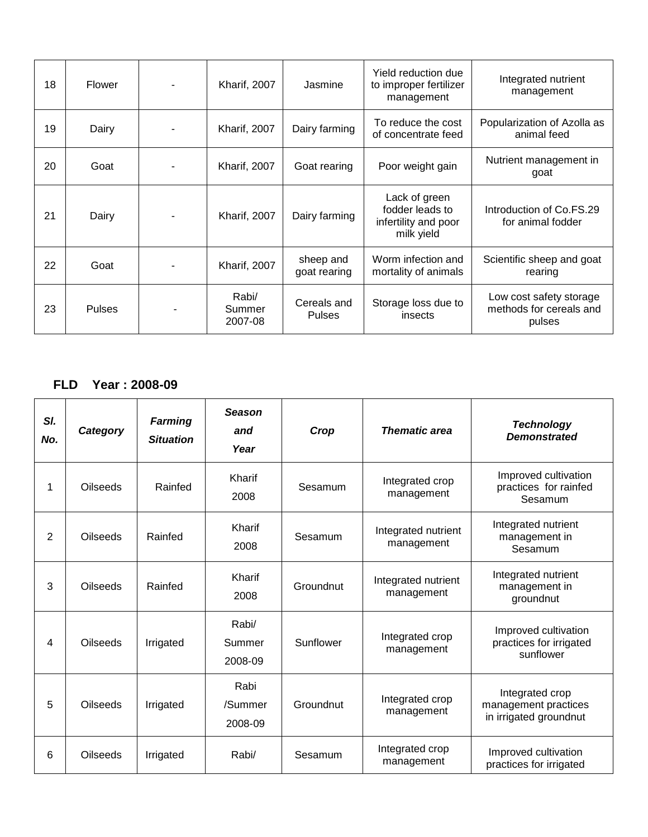| 18 | Flower        | <b>Kharif, 2007</b>        | Jasmine                      | Yield reduction due<br>to improper fertilizer<br>management            | Integrated nutrient<br>management                            |
|----|---------------|----------------------------|------------------------------|------------------------------------------------------------------------|--------------------------------------------------------------|
| 19 | Dairy         | <b>Kharif, 2007</b>        | Dairy farming                | To reduce the cost<br>of concentrate feed                              | Popularization of Azolla as<br>animal feed                   |
| 20 | Goat          | <b>Kharif, 2007</b>        | Goat rearing                 | Poor weight gain                                                       | Nutrient management in<br>goat                               |
| 21 | Dairy         | <b>Kharif, 2007</b>        | Dairy farming                | Lack of green<br>fodder leads to<br>infertility and poor<br>milk yield | Introduction of Co.FS.29<br>for animal fodder                |
| 22 | Goat          | <b>Kharif, 2007</b>        | sheep and<br>goat rearing    | Worm infection and<br>mortality of animals                             | Scientific sheep and goat<br>rearing                         |
| 23 | <b>Pulses</b> | Rabi/<br>Summer<br>2007-08 | Cereals and<br><b>Pulses</b> | Storage loss due to<br>insects                                         | Low cost safety storage<br>methods for cereals and<br>pulses |

#### **FLD Year : 2008-09**

| SI.<br>No.     | Category        | <b>Farming</b><br><b>Situation</b> | <b>Season</b><br>and<br>Year | Crop      | <b>Thematic area</b>              | <b>Technology</b><br><b>Demonstrated</b>                          |
|----------------|-----------------|------------------------------------|------------------------------|-----------|-----------------------------------|-------------------------------------------------------------------|
| 1              | <b>Oilseeds</b> | Rainfed                            | Kharif<br>2008               | Sesamum   | Integrated crop<br>management     | Improved cultivation<br>practices for rainfed<br>Sesamum          |
| $\overline{2}$ | <b>Oilseeds</b> | Rainfed                            | Kharif<br>2008               | Sesamum   | Integrated nutrient<br>management | Integrated nutrient<br>management in<br>Sesamum                   |
| 3              | <b>Oilseeds</b> | Rainfed                            | Kharif<br>2008               | Groundnut | Integrated nutrient<br>management | Integrated nutrient<br>management in<br>groundnut                 |
| 4              | <b>Oilseeds</b> | Irrigated                          | Rabi/<br>Summer<br>2008-09   | Sunflower | Integrated crop<br>management     | Improved cultivation<br>practices for irrigated<br>sunflower      |
| 5              | Oilseeds        | Irrigated                          | Rabi<br>/Summer<br>2008-09   | Groundnut | Integrated crop<br>management     | Integrated crop<br>management practices<br>in irrigated groundnut |
| 6              | Oilseeds        | Irrigated                          | Rabi/                        | Sesamum   | Integrated crop<br>management     | Improved cultivation<br>practices for irrigated                   |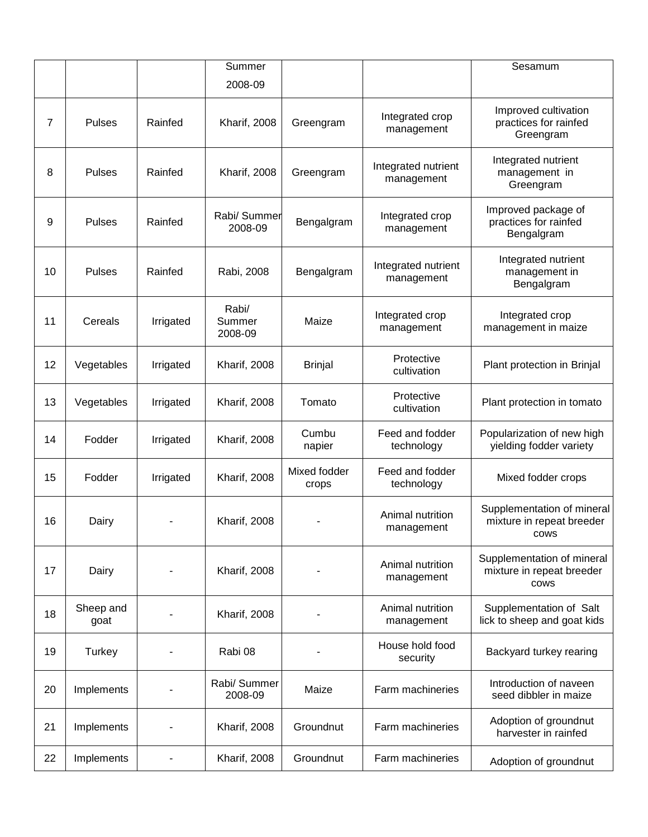|    |                   |           | Summer                     |                       |                                   | Sesamum                                                         |
|----|-------------------|-----------|----------------------------|-----------------------|-----------------------------------|-----------------------------------------------------------------|
|    |                   |           | 2008-09                    |                       |                                   |                                                                 |
| 7  | <b>Pulses</b>     | Rainfed   | Kharif, 2008               | Greengram             | Integrated crop<br>management     | Improved cultivation<br>practices for rainfed<br>Greengram      |
| 8  | <b>Pulses</b>     | Rainfed   | Kharif, 2008               | Greengram             | Integrated nutrient<br>management | Integrated nutrient<br>management in<br>Greengram               |
| 9  | <b>Pulses</b>     | Rainfed   | Rabi/ Summer<br>2008-09    | Bengalgram            | Integrated crop<br>management     | Improved package of<br>practices for rainfed<br>Bengalgram      |
| 10 | Pulses            | Rainfed   | Rabi, 2008                 | Bengalgram            | Integrated nutrient<br>management | Integrated nutrient<br>management in<br>Bengalgram              |
| 11 | Cereals           | Irrigated | Rabi/<br>Summer<br>2008-09 | Maize                 | Integrated crop<br>management     | Integrated crop<br>management in maize                          |
| 12 | Vegetables        | Irrigated | Kharif, 2008               | <b>Brinjal</b>        | Protective<br>cultivation         | Plant protection in Brinjal                                     |
| 13 | Vegetables        | Irrigated | Kharif, 2008               | Tomato                | Protective<br>cultivation         | Plant protection in tomato                                      |
| 14 | Fodder            | Irrigated | <b>Kharif, 2008</b>        | Cumbu<br>napier       | Feed and fodder<br>technology     | Popularization of new high<br>yielding fodder variety           |
| 15 | Fodder            | Irrigated | Kharif, 2008               | Mixed fodder<br>crops | Feed and fodder<br>technology     | Mixed fodder crops                                              |
| 16 | Dairy             |           | Kharif, 2008               |                       | Animal nutrition<br>management    | Supplementation of mineral<br>mixture in repeat breeder<br>cows |
| 17 | Dairy             |           | Kharif, 2008               |                       | Animal nutrition<br>management    | Supplementation of mineral<br>mixture in repeat breeder<br>cows |
| 18 | Sheep and<br>goat |           | Kharif, 2008               |                       | Animal nutrition<br>management    | Supplementation of Salt<br>lick to sheep and goat kids          |
| 19 | Turkey            |           | Rabi 08                    |                       | House hold food<br>security       | Backyard turkey rearing                                         |
| 20 | Implements        |           | Rabi/ Summer<br>2008-09    | Maize                 | Farm machineries                  | Introduction of naveen<br>seed dibbler in maize                 |
| 21 | Implements        |           | Kharif, 2008               | Groundnut             | Farm machineries                  | Adoption of groundnut<br>harvester in rainfed                   |
| 22 | Implements        |           | Kharif, 2008               | Groundnut             | Farm machineries                  | Adoption of groundnut                                           |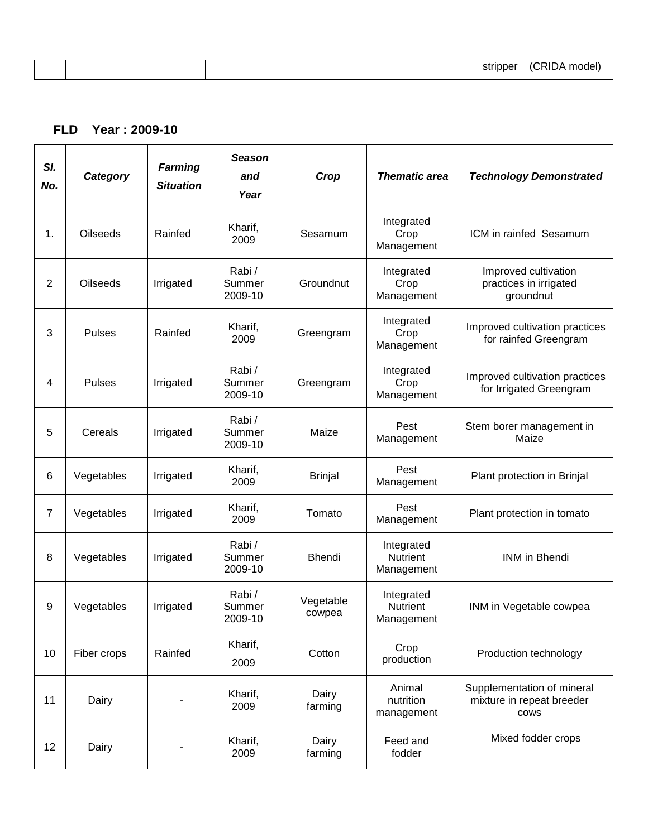| $\sim$ $\sim$ $\sim$<br>.<br>-- |  |  |  |  |
|---------------------------------|--|--|--|--|
|                                 |  |  |  |  |

#### **FLD Year : 2009-10**

| SI.<br>No.     | Category        | <b>Farming</b><br><b>Situation</b> | <b>Season</b><br>and<br>Year | Crop                | <b>Thematic area</b>                        | <b>Technology Demonstrated</b>                                  |
|----------------|-----------------|------------------------------------|------------------------------|---------------------|---------------------------------------------|-----------------------------------------------------------------|
| 1.             | <b>Oilseeds</b> | Rainfed                            | Kharif,<br>2009              | Sesamum             | Integrated<br>Crop<br>Management            | ICM in rainfed Sesamum                                          |
| $\overline{2}$ | Oilseeds        | Irrigated                          | Rabi/<br>Summer<br>2009-10   | Groundnut           | Integrated<br>Crop<br>Management            | Improved cultivation<br>practices in irrigated<br>groundnut     |
| 3              | <b>Pulses</b>   | Rainfed                            | Kharif,<br>2009              | Greengram           | Integrated<br>Crop<br>Management            | Improved cultivation practices<br>for rainfed Greengram         |
| 4              | <b>Pulses</b>   | Irrigated                          | Rabi/<br>Summer<br>2009-10   | Greengram           | Integrated<br>Crop<br>Management            | Improved cultivation practices<br>for Irrigated Greengram       |
| 5              | Cereals         | Irrigated                          | Rabi/<br>Summer<br>2009-10   | Maize               | Pest<br>Management                          | Stem borer management in<br>Maize                               |
| 6              | Vegetables      | Irrigated                          | Kharif,<br>2009              | <b>Brinjal</b>      | Pest<br>Management                          | Plant protection in Brinjal                                     |
| 7              | Vegetables      | Irrigated                          | Kharif,<br>2009              | Tomato              | Pest<br>Management                          | Plant protection in tomato                                      |
| 8              | Vegetables      | Irrigated                          | Rabi/<br>Summer<br>2009-10   | <b>Bhendi</b>       | Integrated<br>Nutrient<br>Management        | <b>INM</b> in Bhendi                                            |
| 9              | Vegetables      | Irrigated                          | Rabi/<br>Summer<br>2009-10   | Vegetable<br>cowpea | Integrated<br><b>Nutrient</b><br>Management | INM in Vegetable cowpea                                         |
| 10             | Fiber crops     | Rainfed                            | Kharif,<br>2009              | Cotton              | Crop<br>production                          | Production technology                                           |
| 11             | Dairy           |                                    | Kharif,<br>2009              | Dairy<br>farming    | Animal<br>nutrition<br>management           | Supplementation of mineral<br>mixture in repeat breeder<br>cows |
| 12             | Dairy           |                                    | Kharif,<br>2009              | Dairy<br>farming    | Feed and<br>fodder                          | Mixed fodder crops                                              |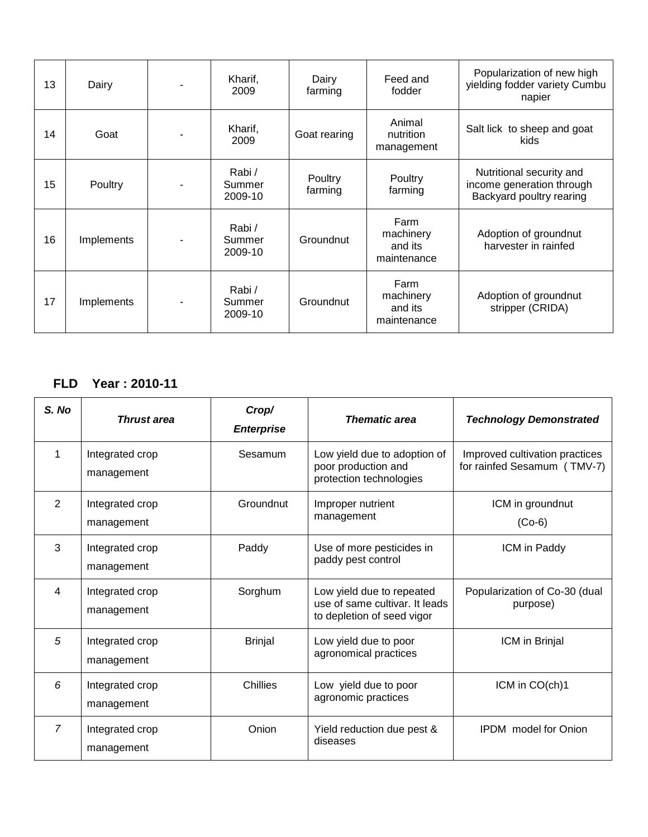| 13 | Dairy      | Kharif,<br>2009             | Dairy<br>farming   | Feed and<br>fodder                          | Popularization of new high<br>yielding fodder variety Cumbu<br>napier             |
|----|------------|-----------------------------|--------------------|---------------------------------------------|-----------------------------------------------------------------------------------|
| 14 | Goat       | Kharif,<br>2009             | Goat rearing       | Animal<br>nutrition<br>management           | Salt lick to sheep and goat<br><b>kids</b>                                        |
| 15 | Poultry    | Rabi/<br>Summer<br>2009-10  | Poultry<br>farming | Poultry<br>farming                          | Nutritional security and<br>income generation through<br>Backyard poultry rearing |
| 16 | Implements | Rabi /<br>Summer<br>2009-10 | Groundnut          | Farm<br>machinery<br>and its<br>maintenance | Adoption of groundnut<br>harvester in rainfed                                     |
| 17 | Implements | Rabi/<br>Summer<br>2009-10  | Groundnut          | Farm<br>machinery<br>and its<br>maintenance | Adoption of groundnut<br>stripper (CRIDA)                                         |

## **FLD Year : 2010-11**

| S. No          | <b>Thrust area</b>            | Crop/<br><b>Enterprise</b> | <b>Thematic area</b>                                                                      | <b>Technology Demonstrated</b>                                |
|----------------|-------------------------------|----------------------------|-------------------------------------------------------------------------------------------|---------------------------------------------------------------|
| 1              | Integrated crop<br>management | Sesamum                    | Low yield due to adoption of<br>poor production and<br>protection technologies            | Improved cultivation practices<br>for rainfed Sesamum (TMV-7) |
| $\overline{2}$ | Integrated crop<br>management | Groundnut                  | Improper nutrient<br>management                                                           | ICM in groundnut<br>$(Co-6)$                                  |
| 3              | Integrated crop<br>management | Paddy                      | Use of more pesticides in<br>paddy pest control                                           | ICM in Paddy                                                  |
| 4              | Integrated crop<br>management | Sorghum                    | Low yield due to repeated<br>use of same cultivar. It leads<br>to depletion of seed vigor | Popularization of Co-30 (dual<br>purpose)                     |
| 5              | Integrated crop<br>management | <b>Brinjal</b>             | Low yield due to poor<br>agronomical practices                                            | ICM in Brinjal                                                |
| 6              | Integrated crop<br>management | Chillies                   | Low yield due to poor<br>agronomic practices                                              | ICM in CO(ch)1                                                |
| $\overline{7}$ | Integrated crop<br>management | Onion                      | Yield reduction due pest &<br>diseases                                                    | <b>IPDM</b> model for Onion                                   |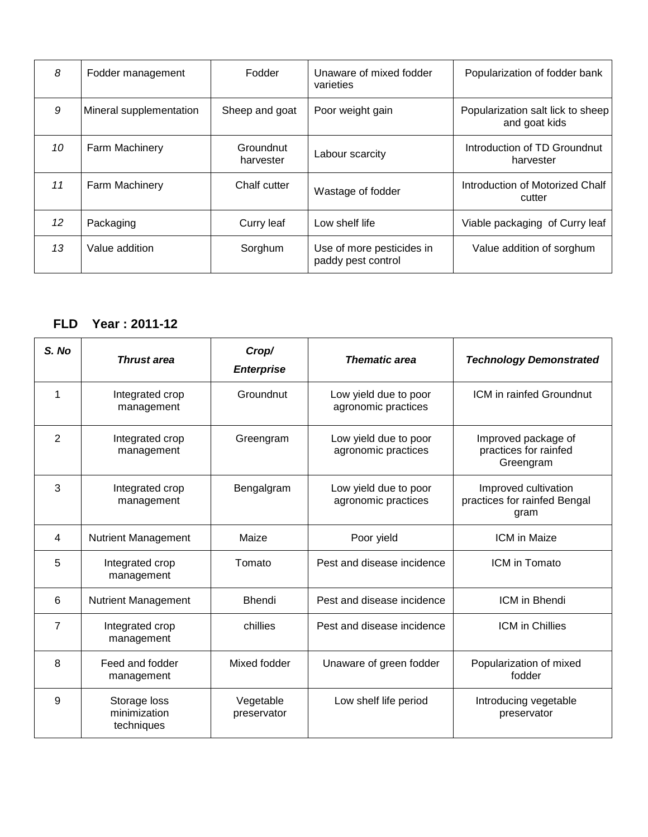| 8  | Fodder management       | Fodder                 | Unaware of mixed fodder<br>varieties            | Popularization of fodder bank                      |
|----|-------------------------|------------------------|-------------------------------------------------|----------------------------------------------------|
| 9  | Mineral supplementation | Sheep and goat         | Poor weight gain                                | Popularization salt lick to sheep<br>and goat kids |
| 10 | Farm Machinery          | Groundnut<br>harvester | Labour scarcity                                 | Introduction of TD Groundnut<br>harvester          |
| 11 | Farm Machinery          | Chalf cutter           | Wastage of fodder                               | Introduction of Motorized Chalf<br>cutter          |
| 12 | Packaging               | Curry leaf             | Low shelf life                                  | Viable packaging of Curry leaf                     |
| 13 | Value addition          | Sorghum                | Use of more pesticides in<br>paddy pest control | Value addition of sorghum                          |

#### **FLD Year : 2011-12**

| S. No          | <b>Thrust area</b>                         | Crop/<br><b>Enterprise</b> | <b>Thematic area</b>                         | <b>Technology Demonstrated</b>                               |
|----------------|--------------------------------------------|----------------------------|----------------------------------------------|--------------------------------------------------------------|
| 1              | Integrated crop<br>management              | Groundnut                  | Low yield due to poor<br>agronomic practices | ICM in rainfed Groundnut                                     |
| $\overline{2}$ | Integrated crop<br>management              | Greengram                  | Low yield due to poor<br>agronomic practices | Improved package of<br>practices for rainfed<br>Greengram    |
| 3              | Integrated crop<br>management              | Bengalgram                 | Low yield due to poor<br>agronomic practices | Improved cultivation<br>practices for rainfed Bengal<br>gram |
| 4              | <b>Nutrient Management</b>                 | Maize                      | Poor yield                                   | <b>ICM</b> in Maize                                          |
| 5              | Integrated crop<br>management              | Tomato                     | Pest and disease incidence                   | ICM in Tomato                                                |
| 6              | <b>Nutrient Management</b>                 | <b>Bhendi</b>              | Pest and disease incidence                   | ICM in Bhendi                                                |
| 7              | Integrated crop<br>management              | chillies                   | Pest and disease incidence                   | <b>ICM</b> in Chillies                                       |
| 8              | Feed and fodder<br>management              | Mixed fodder               | Unaware of green fodder                      | Popularization of mixed<br>fodder                            |
| 9              | Storage loss<br>minimization<br>techniques | Vegetable<br>preservator   | Low shelf life period                        | Introducing vegetable<br>preservator                         |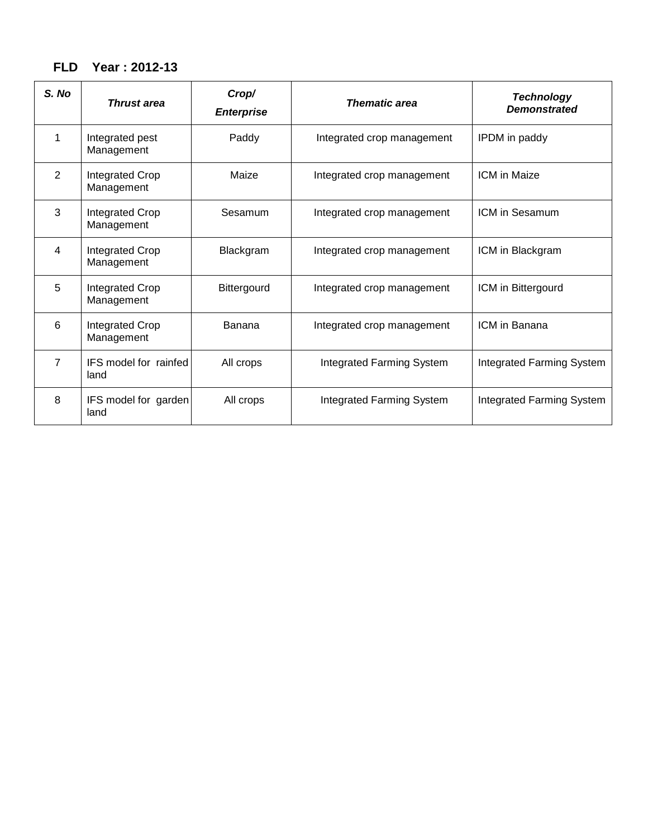# **FLD Year : 2012-13**

| S. No          | <b>Thrust area</b>            | Crop/<br><b>Enterprise</b> | <b>Thematic area</b>       | <b>Technology</b><br><b>Demonstrated</b> |
|----------------|-------------------------------|----------------------------|----------------------------|------------------------------------------|
| 1              | Integrated pest<br>Management | Paddy                      | Integrated crop management | IPDM in paddy                            |
| $\overline{2}$ | Integrated Crop<br>Management | Maize                      | Integrated crop management | <b>ICM</b> in Maize                      |
| 3              | Integrated Crop<br>Management | Sesamum                    | Integrated crop management | ICM in Sesamum                           |
| 4              | Integrated Crop<br>Management | Blackgram                  | Integrated crop management | ICM in Blackgram                         |
| 5              | Integrated Crop<br>Management | Bittergourd                | Integrated crop management | ICM in Bittergourd                       |
| 6              | Integrated Crop<br>Management | Banana                     | Integrated crop management | ICM in Banana                            |
| $\overline{7}$ | IFS model for rainfed<br>land | All crops                  | Integrated Farming System  | Integrated Farming System                |
| 8              | IFS model for garden<br>land  | All crops                  | Integrated Farming System  | Integrated Farming System                |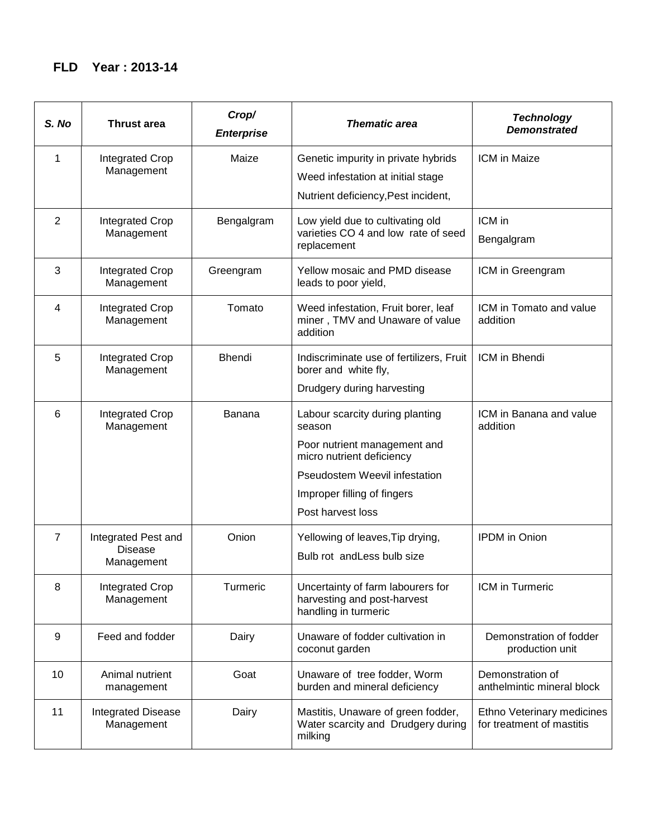## **FLD Year : 2013-14**

| S. No          | <b>Thrust area</b>                      | Crop/<br><b>Enterprise</b> | <b>Thematic area</b>                                                                     | <b>Technology</b><br><b>Demonstrated</b>                |
|----------------|-----------------------------------------|----------------------------|------------------------------------------------------------------------------------------|---------------------------------------------------------|
| 1              | <b>Integrated Crop</b>                  | Maize                      | Genetic impurity in private hybrids                                                      | ICM in Maize                                            |
|                | Management                              |                            | Weed infestation at initial stage                                                        |                                                         |
|                |                                         |                            | Nutrient deficiency, Pest incident,                                                      |                                                         |
| $\overline{2}$ | <b>Integrated Crop</b>                  | Bengalgram                 | Low yield due to cultivating old                                                         | ICM in                                                  |
|                | Management                              |                            | varieties CO 4 and low rate of seed<br>replacement                                       | Bengalgram                                              |
| 3              | Integrated Crop<br>Management           | Greengram                  | Yellow mosaic and PMD disease<br>leads to poor yield,                                    | ICM in Greengram                                        |
| 4              | Integrated Crop<br>Management           | Tomato                     | Weed infestation, Fruit borer, leaf<br>miner, TMV and Unaware of value<br>addition       | ICM in Tomato and value<br>addition                     |
| 5              | <b>Integrated Crop</b><br>Management    | Bhendi                     | Indiscriminate use of fertilizers, Fruit<br>borer and white fly,                         | ICM in Bhendi                                           |
|                |                                         |                            | Drudgery during harvesting                                                               |                                                         |
| 6              | Integrated Crop<br>Management           | Banana                     | Labour scarcity during planting<br>season                                                | ICM in Banana and value<br>addition                     |
|                |                                         |                            | Poor nutrient management and<br>micro nutrient deficiency                                |                                                         |
|                |                                         |                            | <b>Pseudostem Weevil infestation</b>                                                     |                                                         |
|                |                                         |                            | Improper filling of fingers                                                              |                                                         |
|                |                                         |                            | Post harvest loss                                                                        |                                                         |
| $\overline{7}$ | Integrated Pest and                     | Onion                      | Yellowing of leaves, Tip drying,                                                         | <b>IPDM</b> in Onion                                    |
|                | <b>Disease</b><br>Management            |                            | Bulb rot and Less bulb size                                                              |                                                         |
| 8              | Integrated Crop<br>Management           | Turmeric                   | Uncertainty of farm labourers for<br>harvesting and post-harvest<br>handling in turmeric | ICM in Turmeric                                         |
| 9              | Feed and fodder                         | Dairy                      | Unaware of fodder cultivation in<br>coconut garden                                       | Demonstration of fodder<br>production unit              |
| 10             | Animal nutrient<br>management           | Goat                       | Unaware of tree fodder, Worm<br>burden and mineral deficiency                            | Demonstration of<br>anthelmintic mineral block          |
| 11             | <b>Integrated Disease</b><br>Management | Dairy                      | Mastitis, Unaware of green fodder,<br>Water scarcity and Drudgery during<br>milking      | Ethno Veterinary medicines<br>for treatment of mastitis |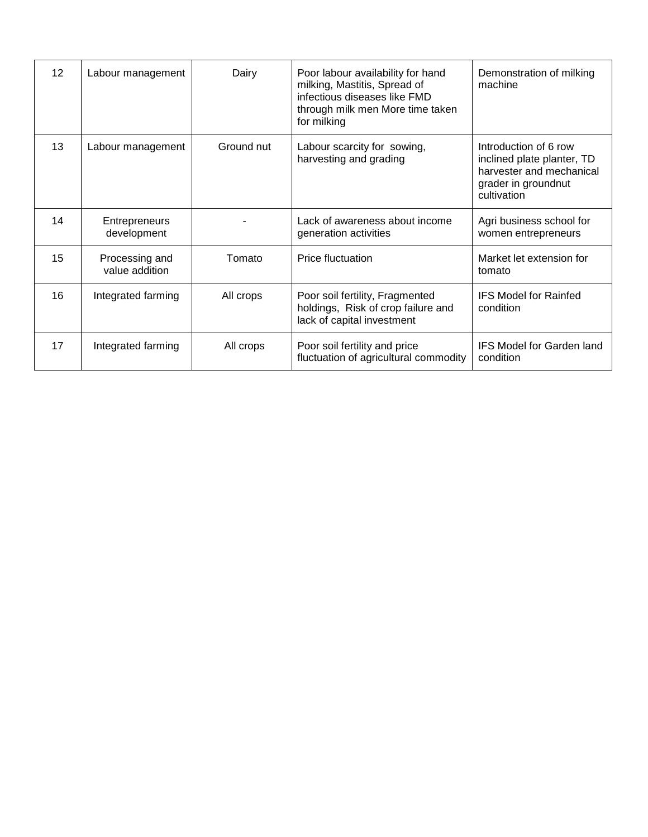| 12 <sup>2</sup> | Labour management                   | Dairy      | Poor labour availability for hand<br>milking, Mastitis, Spread of<br>infectious diseases like FMD<br>through milk men More time taken<br>for milking | Demonstration of milking<br>machine                                                                                   |
|-----------------|-------------------------------------|------------|------------------------------------------------------------------------------------------------------------------------------------------------------|-----------------------------------------------------------------------------------------------------------------------|
| 13              | Labour management                   | Ground nut | Labour scarcity for sowing,<br>harvesting and grading                                                                                                | Introduction of 6 row<br>inclined plate planter, TD<br>harvester and mechanical<br>grader in groundnut<br>cultivation |
| 14              | <b>Entrepreneurs</b><br>development |            | Lack of awareness about income<br>generation activities                                                                                              | Agri business school for<br>women entrepreneurs                                                                       |
| 15              | Processing and<br>value addition    | Tomato     | Price fluctuation                                                                                                                                    | Market let extension for<br>tomato                                                                                    |
| 16              | Integrated farming                  | All crops  | Poor soil fertility, Fragmented<br>holdings, Risk of crop failure and<br>lack of capital investment                                                  | <b>IFS Model for Rainfed</b><br>condition                                                                             |
| 17              | Integrated farming                  | All crops  | Poor soil fertility and price<br>fluctuation of agricultural commodity                                                                               | <b>IFS Model for Garden land</b><br>condition                                                                         |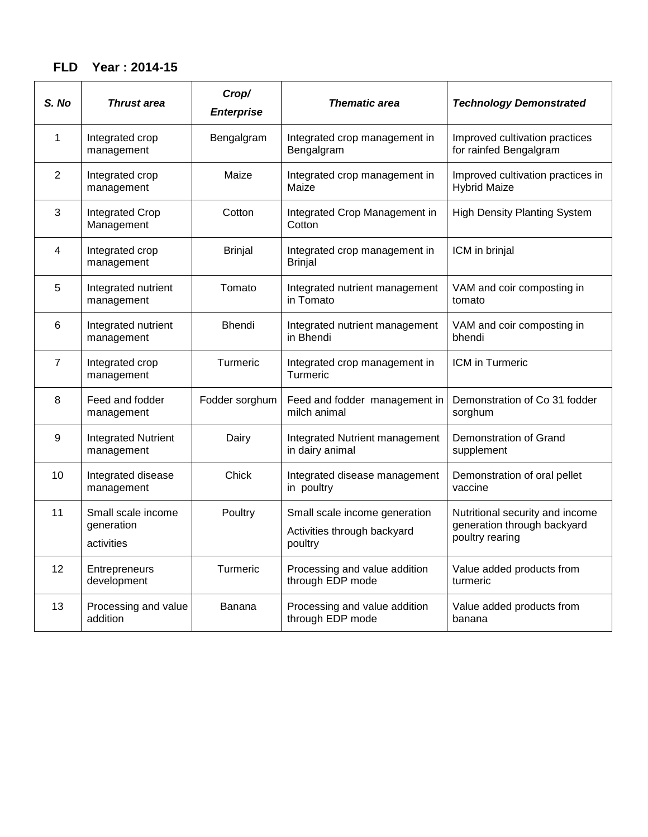## **FLD Year : 2014-15**

| S. No          | <b>Thrust area</b>                             | Crop/<br><b>Enterprise</b> | <b>Thematic area</b>                                                    | <b>Technology Demonstrated</b>                                                    |
|----------------|------------------------------------------------|----------------------------|-------------------------------------------------------------------------|-----------------------------------------------------------------------------------|
| 1              | Integrated crop<br>management                  | Bengalgram                 | Integrated crop management in<br>Bengalgram                             | Improved cultivation practices<br>for rainfed Bengalgram                          |
| $\overline{2}$ | Integrated crop<br>management                  | Maize                      | Integrated crop management in<br>Maize                                  | Improved cultivation practices in<br><b>Hybrid Maize</b>                          |
| 3              | Integrated Crop<br>Management                  | Cotton                     | Integrated Crop Management in<br>Cotton                                 | <b>High Density Planting System</b>                                               |
| 4              | Integrated crop<br>management                  | <b>Brinjal</b>             | Integrated crop management in<br><b>Brinjal</b>                         | ICM in brinjal                                                                    |
| 5              | Integrated nutrient<br>management              | Tomato                     | Integrated nutrient management<br>in Tomato                             | VAM and coir composting in<br>tomato                                              |
| 6              | Integrated nutrient<br>management              | <b>Bhendi</b>              | Integrated nutrient management<br>in Bhendi                             | VAM and coir composting in<br>bhendi                                              |
| 7              | Integrated crop<br>management                  | Turmeric                   | Integrated crop management in<br>Turmeric                               | ICM in Turmeric                                                                   |
| 8              | Feed and fodder<br>management                  | Fodder sorghum             | Feed and fodder management in<br>milch animal                           | Demonstration of Co 31 fodder<br>sorghum                                          |
| 9              | <b>Integrated Nutrient</b><br>management       | Dairy                      | Integrated Nutrient management<br>in dairy animal                       | Demonstration of Grand<br>supplement                                              |
| 10             | Integrated disease<br>management               | Chick                      | Integrated disease management<br>in poultry                             | Demonstration of oral pellet<br>vaccine                                           |
| 11             | Small scale income<br>generation<br>activities | Poultry                    | Small scale income generation<br>Activities through backyard<br>poultry | Nutritional security and income<br>generation through backyard<br>poultry rearing |
| 12             | Entrepreneurs<br>development                   | Turmeric                   | Processing and value addition<br>through EDP mode                       | Value added products from<br>turmeric                                             |
| 13             | Processing and value<br>addition               | Banana                     | Processing and value addition<br>through EDP mode                       | Value added products from<br>banana                                               |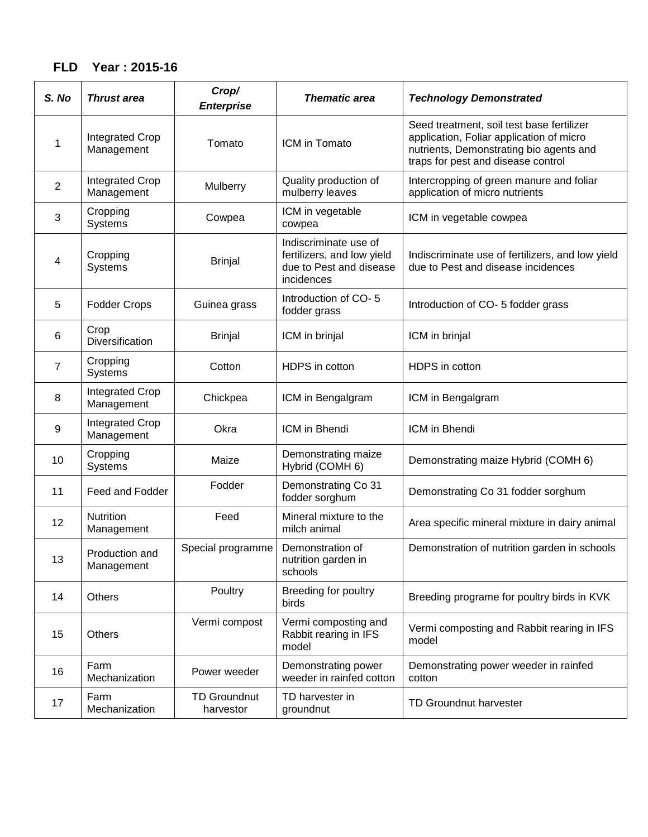# **FLD Year : 2015-16**

| S. No | <b>Thrust area</b>                   | Crop/<br><b>Enterprise</b>       | <b>Thematic area</b>                                                                         | <b>Technology Demonstrated</b>                                                                                                                                         |
|-------|--------------------------------------|----------------------------------|----------------------------------------------------------------------------------------------|------------------------------------------------------------------------------------------------------------------------------------------------------------------------|
| 1     | <b>Integrated Crop</b><br>Management | Tomato                           | ICM in Tomato                                                                                | Seed treatment, soil test base fertilizer<br>application, Foliar application of micro<br>nutrients, Demonstrating bio agents and<br>traps for pest and disease control |
| 2     | <b>Integrated Crop</b><br>Management | Mulberry                         | Quality production of<br>mulberry leaves                                                     | Intercropping of green manure and foliar<br>application of micro nutrients                                                                                             |
| 3     | Cropping<br>Systems                  | Cowpea                           | ICM in vegetable<br>cowpea                                                                   | ICM in vegetable cowpea                                                                                                                                                |
| 4     | Cropping<br>Systems                  | <b>Brinjal</b>                   | Indiscriminate use of<br>fertilizers, and low yield<br>due to Pest and disease<br>incidences | Indiscriminate use of fertilizers, and low yield<br>due to Pest and disease incidences                                                                                 |
| 5     | <b>Fodder Crops</b>                  | Guinea grass                     | Introduction of CO-5<br>fodder grass                                                         | Introduction of CO-5 fodder grass                                                                                                                                      |
| 6     | Crop<br>Diversification              | <b>Brinjal</b>                   | ICM in brinjal                                                                               | ICM in brinjal                                                                                                                                                         |
| 7     | Cropping<br>Systems                  | Cotton                           | HDPS in cotton                                                                               | HDPS in cotton                                                                                                                                                         |
| 8     | <b>Integrated Crop</b><br>Management | Chickpea                         | ICM in Bengalgram                                                                            | ICM in Bengalgram                                                                                                                                                      |
| 9     | <b>Integrated Crop</b><br>Management | Okra                             | ICM in Bhendi                                                                                | ICM in Bhendi                                                                                                                                                          |
| 10    | Cropping<br>Systems                  | Maize                            | Demonstrating maize<br>Hybrid (COMH 6)                                                       | Demonstrating maize Hybrid (COMH 6)                                                                                                                                    |
| 11    | Feed and Fodder                      | Fodder                           | Demonstrating Co 31<br>fodder sorghum                                                        | Demonstrating Co 31 fodder sorghum                                                                                                                                     |
| 12    | <b>Nutrition</b><br>Management       | Feed                             | Mineral mixture to the<br>milch animal                                                       | Area specific mineral mixture in dairy animal                                                                                                                          |
| 13    | Production and<br>Management         | Special programme                | Demonstration of<br>nutrition garden in<br>schools                                           | Demonstration of nutrition garden in schools                                                                                                                           |
| 14    | <b>Others</b>                        | Poultry                          | Breeding for poultry<br>birds                                                                | Breeding programe for poultry birds in KVK                                                                                                                             |
| 15    | Others                               | Vermi compost                    | Vermi composting and<br>Rabbit rearing in IFS<br>model                                       | Vermi composting and Rabbit rearing in IFS<br>model                                                                                                                    |
| 16    | Farm<br>Mechanization                | Power weeder                     | Demonstrating power<br>weeder in rainfed cotton                                              | Demonstrating power weeder in rainfed<br>cotton                                                                                                                        |
| 17    | Farm<br>Mechanization                | <b>TD Groundnut</b><br>harvestor | TD harvester in<br>groundnut                                                                 | <b>TD Groundnut harvester</b>                                                                                                                                          |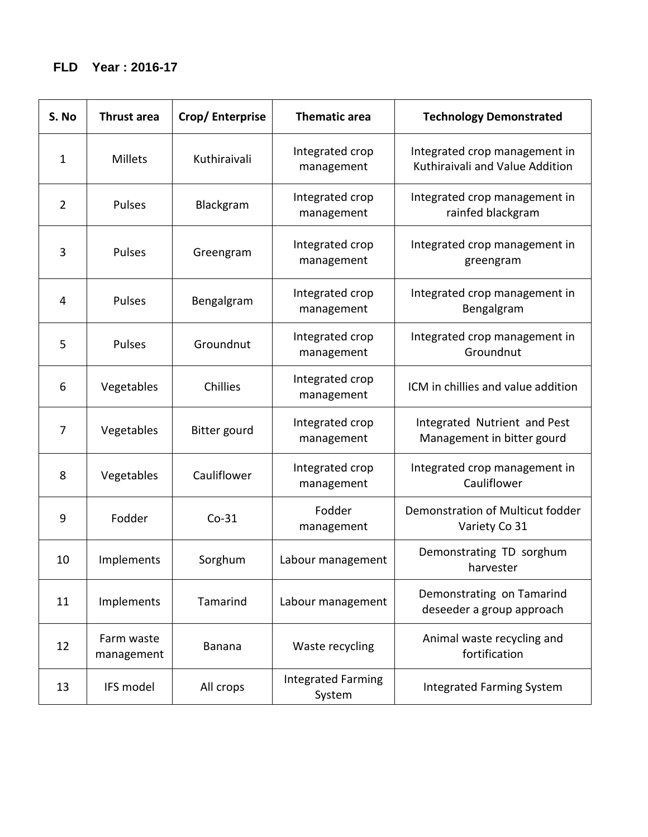| S. No          | <b>Thrust area</b>       | Crop/Enterprise | <b>Thematic area</b>                | <b>Technology Demonstrated</b>                                   |
|----------------|--------------------------|-----------------|-------------------------------------|------------------------------------------------------------------|
| $\mathbf{1}$   | <b>Millets</b>           | Kuthiraivali    | Integrated crop<br>management       | Integrated crop management in<br>Kuthiraivali and Value Addition |
| $\overline{2}$ | Pulses                   | Blackgram       | Integrated crop<br>management       | Integrated crop management in<br>rainfed blackgram               |
| 3              | Pulses                   | Greengram       | Integrated crop<br>management       | Integrated crop management in<br>greengram                       |
| 4              | Pulses                   | Bengalgram      | Integrated crop<br>management       | Integrated crop management in<br>Bengalgram                      |
| 5              | Pulses                   | Groundnut       | Integrated crop<br>management       | Integrated crop management in<br>Groundnut                       |
| 6              | Vegetables               | Chillies        | Integrated crop<br>management       | ICM in chillies and value addition                               |
| $\overline{7}$ | Vegetables               | Bitter gourd    | Integrated crop<br>management       | Integrated Nutrient and Pest<br>Management in bitter gourd       |
| 8              | Vegetables               | Cauliflower     | Integrated crop<br>management       | Integrated crop management in<br>Cauliflower                     |
| 9              | Fodder                   | $Co-31$         | Fodder<br>management                | Demonstration of Multicut fodder<br>Variety Co 31                |
| 10             | Implements               | Sorghum         | Labour management                   | Demonstrating TD sorghum<br>harvester                            |
| 11             | Implements               | Tamarind        | Labour management                   | Demonstrating on Tamarind<br>deseeder a group approach           |
| 12             | Farm waste<br>management | Banana          | Waste recycling                     | Animal waste recycling and<br>fortification                      |
| 13             | IFS model                | All crops       | <b>Integrated Farming</b><br>System | <b>Integrated Farming System</b>                                 |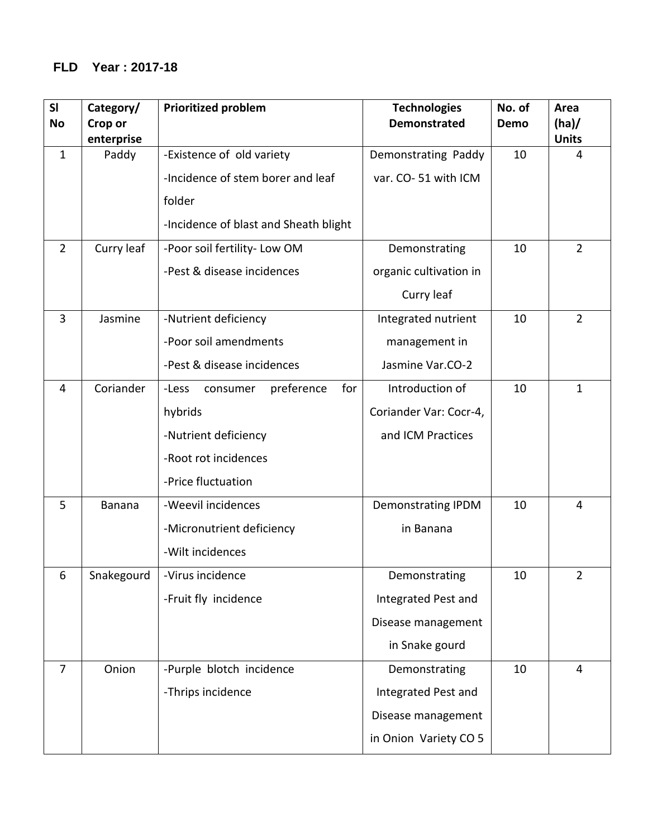## **FLD Year : 2017-18**

| SI<br>No       | Category/<br>Crop or | <b>Prioritized problem</b>             | <b>Technologies</b><br><b>Demonstrated</b> | No. of<br>Demo | Area<br>(ha)   |
|----------------|----------------------|----------------------------------------|--------------------------------------------|----------------|----------------|
|                | enterprise           |                                        |                                            |                | <b>Units</b>   |
| $\mathbf{1}$   | Paddy                | -Existence of old variety              | Demonstrating Paddy                        | 10             | $\overline{4}$ |
|                |                      | -Incidence of stem borer and leaf      | var. CO-51 with ICM                        |                |                |
|                |                      | folder                                 |                                            |                |                |
|                |                      | -Incidence of blast and Sheath blight  |                                            |                |                |
| $\overline{2}$ | Curry leaf           | -Poor soil fertility- Low OM           | Demonstrating                              | 10             | $\overline{2}$ |
|                |                      | -Pest & disease incidences             | organic cultivation in                     |                |                |
|                |                      |                                        | Curry leaf                                 |                |                |
| 3              | Jasmine              | -Nutrient deficiency                   | Integrated nutrient                        | 10             | $\overline{2}$ |
|                |                      | -Poor soil amendments                  | management in                              |                |                |
|                |                      | -Pest & disease incidences             | Jasmine Var.CO-2                           |                |                |
| 4              | Coriander            | preference<br>for<br>-Less<br>consumer | Introduction of                            | 10             | $\mathbf{1}$   |
|                |                      | hybrids                                | Coriander Var: Cocr-4,                     |                |                |
|                |                      | -Nutrient deficiency                   | and ICM Practices                          |                |                |
|                |                      | -Root rot incidences                   |                                            |                |                |
|                |                      | -Price fluctuation                     |                                            |                |                |
| 5              | Banana               | -Weevil incidences                     | Demonstrating IPDM                         | 10             | 4              |
|                |                      | -Micronutrient deficiency              | in Banana                                  |                |                |
|                |                      | -Wilt incidences                       |                                            |                |                |
| 6              | Snakegourd           | -Virus incidence                       | Demonstrating                              | 10             | $\overline{2}$ |
|                |                      | -Fruit fly incidence                   | Integrated Pest and                        |                |                |
|                |                      |                                        | Disease management                         |                |                |
|                |                      |                                        | in Snake gourd                             |                |                |
| $\overline{7}$ | Onion                | -Purple blotch incidence               | Demonstrating                              | 10             | 4              |
|                |                      | -Thrips incidence                      | Integrated Pest and                        |                |                |
|                |                      |                                        | Disease management                         |                |                |
|                |                      |                                        | in Onion Variety CO 5                      |                |                |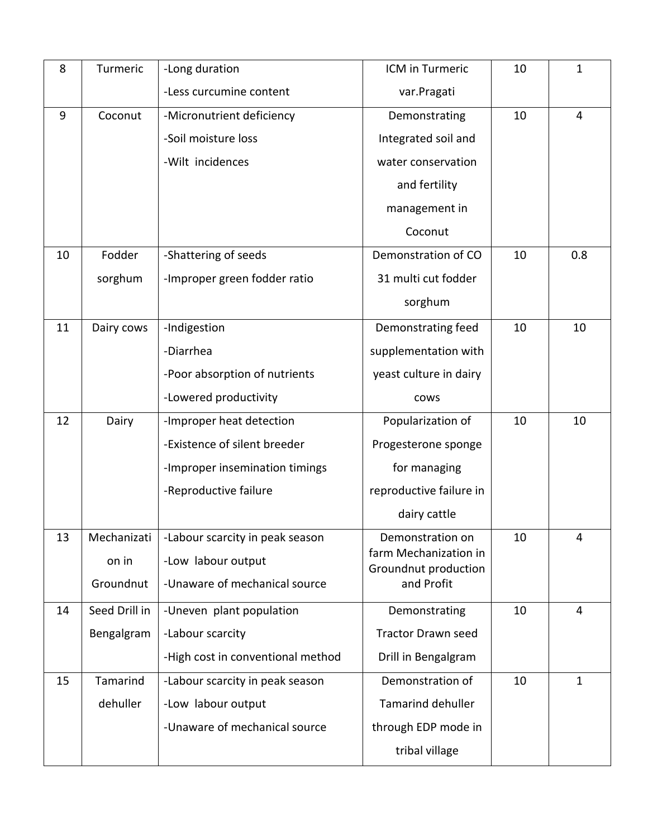| 8  | Turmeric      | -Long duration                    | ICM in Turmeric                               | 10 | $\mathbf{1}$   |
|----|---------------|-----------------------------------|-----------------------------------------------|----|----------------|
|    |               | -Less curcumine content           | var.Pragati                                   |    |                |
| 9  | Coconut       | -Micronutrient deficiency         | Demonstrating                                 | 10 | $\overline{4}$ |
|    |               | -Soil moisture loss               | Integrated soil and                           |    |                |
|    |               | -Wilt incidences                  | water conservation                            |    |                |
|    |               |                                   | and fertility                                 |    |                |
|    |               |                                   | management in                                 |    |                |
|    |               |                                   | Coconut                                       |    |                |
| 10 | Fodder        | -Shattering of seeds              | Demonstration of CO                           | 10 | 0.8            |
|    | sorghum       | -Improper green fodder ratio      | 31 multi cut fodder                           |    |                |
|    |               |                                   | sorghum                                       |    |                |
| 11 | Dairy cows    | -Indigestion                      | Demonstrating feed                            | 10 | 10             |
|    |               | -Diarrhea                         | supplementation with                          |    |                |
|    |               | -Poor absorption of nutrients     | yeast culture in dairy                        |    |                |
|    |               | -Lowered productivity             | cows                                          |    |                |
| 12 | Dairy         | -Improper heat detection          | Popularization of                             | 10 | 10             |
|    |               | -Existence of silent breeder      | Progesterone sponge                           |    |                |
|    |               | -Improper insemination timings    | for managing                                  |    |                |
|    |               | -Reproductive failure             | reproductive failure in                       |    |                |
|    |               |                                   | dairy cattle                                  |    |                |
| 13 | Mechanizati   | -Labour scarcity in peak season   | Demonstration on                              | 10 | 4              |
|    | on in         | -Low labour output                | farm Mechanization in<br>Groundnut production |    |                |
|    | Groundnut     | -Unaware of mechanical source     | and Profit                                    |    |                |
| 14 | Seed Drill in | -Uneven plant population          | Demonstrating                                 | 10 | 4              |
|    | Bengalgram    | -Labour scarcity                  | <b>Tractor Drawn seed</b>                     |    |                |
|    |               | -High cost in conventional method | Drill in Bengalgram                           |    |                |
| 15 | Tamarind      | -Labour scarcity in peak season   | Demonstration of                              | 10 | $\mathbf{1}$   |
|    | dehuller      | -Low labour output                | <b>Tamarind dehuller</b>                      |    |                |
|    |               | -Unaware of mechanical source     | through EDP mode in                           |    |                |
|    |               |                                   | tribal village                                |    |                |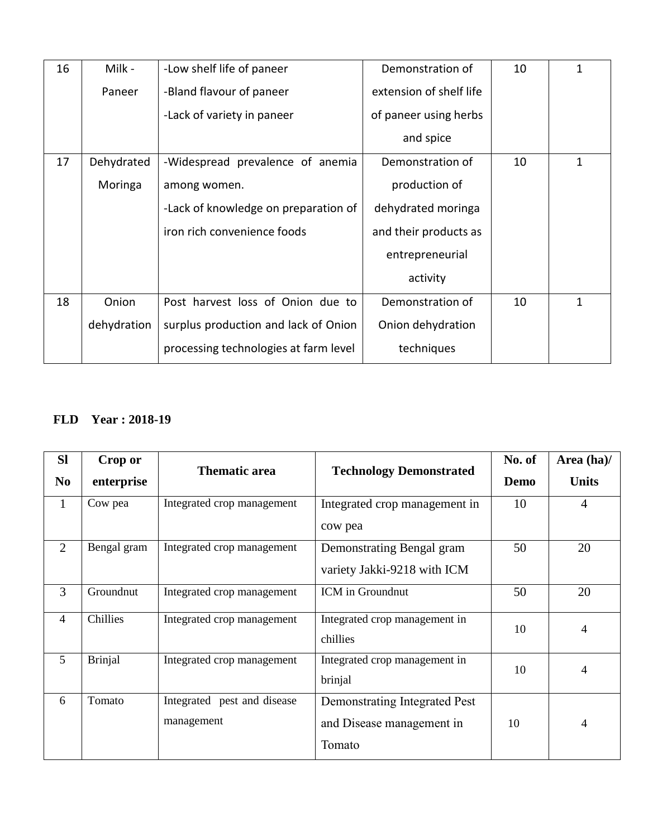| 16 | Milk -      | -Low shelf life of paneer             | Demonstration of        | 10 | 1 |
|----|-------------|---------------------------------------|-------------------------|----|---|
|    | Paneer      | -Bland flavour of paneer              | extension of shelf life |    |   |
|    |             | -Lack of variety in paneer            | of paneer using herbs   |    |   |
|    |             |                                       | and spice               |    |   |
| 17 | Dehydrated  | -Widespread prevalence of anemia      | Demonstration of        | 10 | 1 |
|    | Moringa     | among women.                          | production of           |    |   |
|    |             | -Lack of knowledge on preparation of  | dehydrated moringa      |    |   |
|    |             | iron rich convenience foods           | and their products as   |    |   |
|    |             |                                       | entrepreneurial         |    |   |
|    |             |                                       | activity                |    |   |
| 18 | Onion       | Post harvest loss of Onion due to     | Demonstration of        | 10 | 1 |
|    | dehydration | surplus production and lack of Onion  | Onion dehydration       |    |   |
|    |             | processing technologies at farm level | techniques              |    |   |

### **FLD Year : 2018-19**

| <b>SI</b><br>N <sub>0</sub> | Crop or<br>enterprise | <b>Thematic area</b>                         | <b>Technology Demonstrated</b>                                       | No. of<br>Demo | Area (ha)/<br><b>Units</b> |
|-----------------------------|-----------------------|----------------------------------------------|----------------------------------------------------------------------|----------------|----------------------------|
| 1                           | Cow pea               | Integrated crop management                   | Integrated crop management in<br>cow pea                             | 10             | $\overline{4}$             |
| 2                           | Bengal gram           | Integrated crop management                   | Demonstrating Bengal gram<br>variety Jakki-9218 with ICM             | 50             | 20                         |
| 3                           | Groundnut             | Integrated crop management                   | ICM in Groundnut                                                     | 50             | 20                         |
| $\overline{4}$              | Chillies              | Integrated crop management                   | Integrated crop management in<br>chillies                            | 10             | $\overline{4}$             |
| $5^{\circ}$                 | <b>Brinjal</b>        | Integrated crop management                   | Integrated crop management in<br>brinjal                             | 10             | $\overline{4}$             |
| 6                           | Tomato                | Integrated<br>pest and disease<br>management | Demonstrating Integrated Pest<br>and Disease management in<br>Tomato | 10             | 4                          |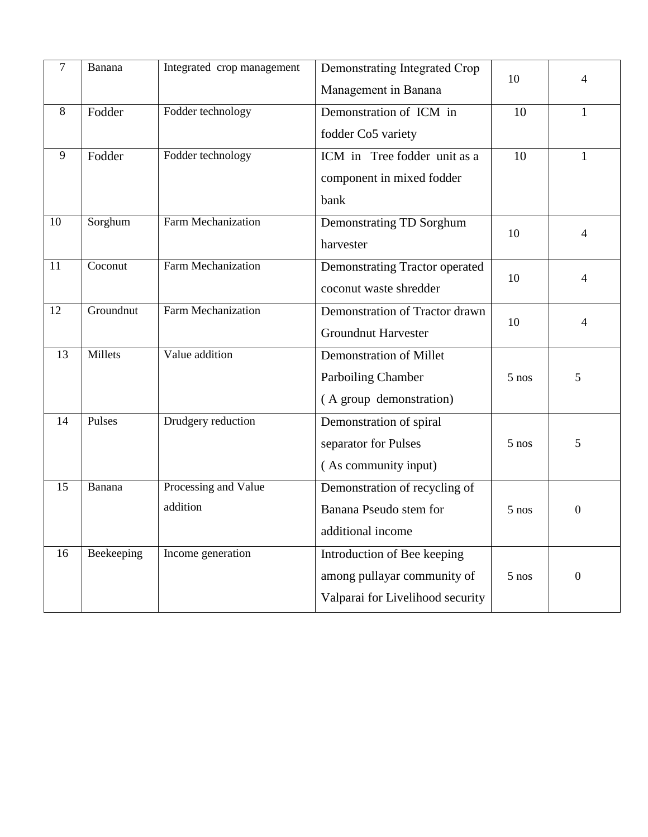| $\tau$ | Banana     | Integrated crop management | Demonstrating Integrated Crop    | 10      |                |
|--------|------------|----------------------------|----------------------------------|---------|----------------|
|        |            |                            | Management in Banana             |         | 4              |
| 8      | Fodder     | Fodder technology          | Demonstration of ICM in          | 10      | 1              |
|        |            |                            | fodder Co5 variety               |         |                |
| 9      | Fodder     | Fodder technology          | ICM in Tree fodder unit as a     | 10      | $\mathbf{1}$   |
|        |            |                            | component in mixed fodder        |         |                |
|        |            |                            | bank                             |         |                |
| 10     | Sorghum    | Farm Mechanization         | Demonstrating TD Sorghum         | 10      |                |
|        |            |                            | harvester                        |         | 4              |
| 11     | Coconut    | <b>Farm Mechanization</b>  | Demonstrating Tractor operated   | 10      |                |
|        |            |                            | coconut waste shredder           |         | 4              |
| 12     | Groundnut  | <b>Farm Mechanization</b>  | Demonstration of Tractor drawn   |         |                |
|        |            |                            | <b>Groundnut Harvester</b>       | 10      | 4              |
| 13     | Millets    | Value addition             | <b>Demonstration of Millet</b>   |         |                |
|        |            |                            | Parboiling Chamber               | $5$ nos | 5              |
|        |            |                            | (A group demonstration)          |         |                |
| 14     | Pulses     | Drudgery reduction         | Demonstration of spiral          |         |                |
|        |            |                            | separator for Pulses             | $5$ nos | 5              |
|        |            |                            | (As community input)             |         |                |
| 15     | Banana     | Processing and Value       | Demonstration of recycling of    |         |                |
|        |            | addition                   | Banana Pseudo stem for           | $5$ nos | $\Omega$       |
|        |            |                            | additional income                |         |                |
| 16     | Beekeeping | Income generation          | Introduction of Bee keeping      |         |                |
|        |            |                            | among pullayar community of      | $5$ nos | $\overline{0}$ |
|        |            |                            | Valparai for Livelihood security |         |                |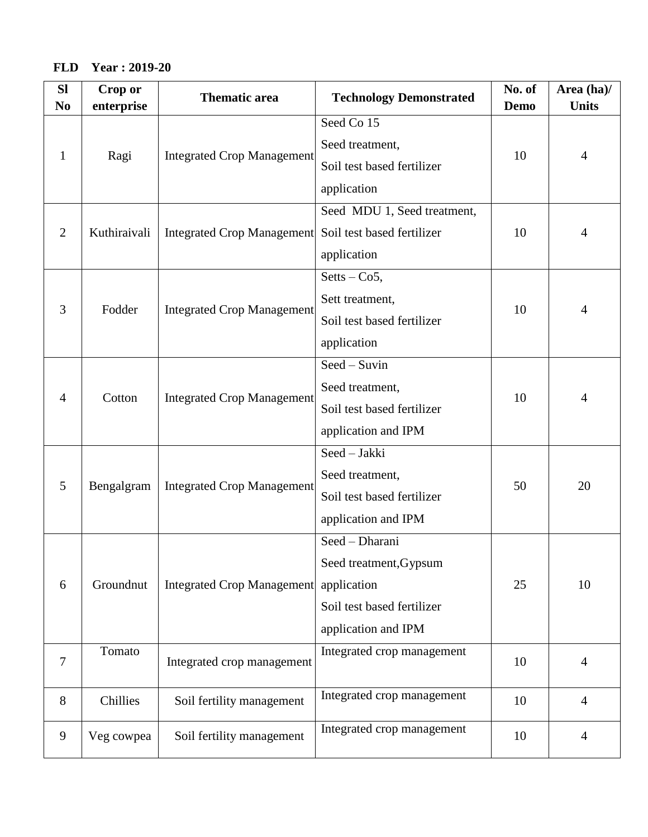### **FLD Year : 2019-20**

| <b>SI</b><br>N <sub>0</sub> | Crop or<br>enterprise | <b>Thematic area</b>              | <b>Technology Demonstrated</b> | No. of<br>Demo | Area (ha)/<br><b>Units</b> |
|-----------------------------|-----------------------|-----------------------------------|--------------------------------|----------------|----------------------------|
|                             |                       |                                   | Seed Co 15                     |                |                            |
| 1                           | Ragi                  | <b>Integrated Crop Management</b> | Seed treatment,                | 10             | $\overline{4}$             |
|                             |                       |                                   | Soil test based fertilizer     |                |                            |
|                             |                       |                                   | application                    |                |                            |
|                             |                       |                                   | Seed MDU 1, Seed treatment,    |                |                            |
| $\overline{2}$              | Kuthiraivali          | <b>Integrated Crop Management</b> | Soil test based fertilizer     | 10             | 4                          |
|                             |                       |                                   | application                    |                |                            |
|                             |                       |                                   | $Sets - Co5,$                  |                |                            |
| 3                           | Fodder                | <b>Integrated Crop Management</b> | Sett treatment,                | 10             | 4                          |
|                             |                       |                                   | Soil test based fertilizer     |                |                            |
|                             |                       |                                   | application                    |                |                            |
|                             |                       | <b>Integrated Crop Management</b> | Seed - Suvin                   |                |                            |
| 4                           | Cotton                |                                   | Seed treatment,                | 10             | $\overline{4}$             |
|                             |                       |                                   | Soil test based fertilizer     |                |                            |
|                             |                       |                                   | application and IPM            |                |                            |
|                             |                       |                                   | Seed - Jakki                   |                |                            |
| 5                           | Bengalgram            | <b>Integrated Crop Management</b> | Seed treatment,                | 50             | 20                         |
|                             |                       |                                   | Soil test based fertilizer     |                |                            |
|                             |                       |                                   | application and IPM            |                |                            |
|                             |                       |                                   | Seed - Dharani                 |                |                            |
|                             |                       |                                   | Seed treatment, Gypsum         |                |                            |
| 6                           | Groundnut             | <b>Integrated Crop Management</b> | application                    | 25             | 10                         |
|                             |                       |                                   | Soil test based fertilizer     |                |                            |
|                             |                       |                                   | application and IPM            |                |                            |
| $\overline{7}$              | Tomato                |                                   | Integrated crop management     | 10             | $\overline{4}$             |
|                             |                       | Integrated crop management        |                                |                |                            |
| 8                           | Chillies              | Soil fertility management         | Integrated crop management     | 10             | $\overline{4}$             |
| 9                           | Veg cowpea            | Soil fertility management         | Integrated crop management     | 10             | $\overline{4}$             |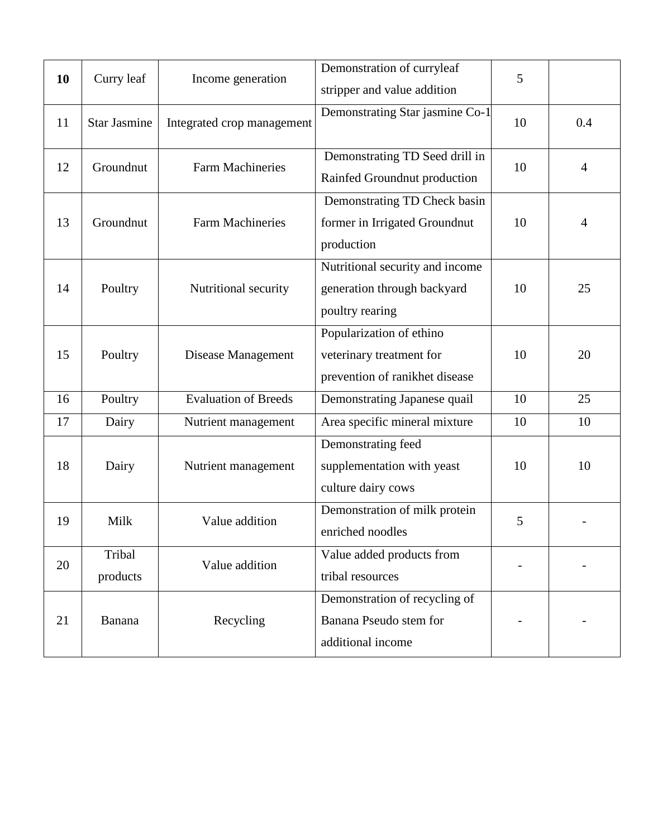| 10 | Curry leaf          | Income generation           | Demonstration of curryleaf<br>stripper and value addition                              | 5  |                |
|----|---------------------|-----------------------------|----------------------------------------------------------------------------------------|----|----------------|
| 11 | <b>Star Jasmine</b> | Integrated crop management  | Demonstrating Star jasmine Co-1                                                        | 10 | 0.4            |
| 12 | Groundnut           | <b>Farm Machineries</b>     | Demonstrating TD Seed drill in<br>Rainfed Groundnut production                         | 10 | $\overline{4}$ |
| 13 | Groundnut           | <b>Farm Machineries</b>     | Demonstrating TD Check basin<br>former in Irrigated Groundnut<br>production            | 10 | $\overline{4}$ |
| 14 | Poultry             | Nutritional security        | Nutritional security and income<br>generation through backyard<br>poultry rearing      | 10 | 25             |
| 15 | Poultry             | Disease Management          | Popularization of ethino<br>veterinary treatment for<br>prevention of ranikhet disease | 10 | 20             |
| 16 | Poultry             | <b>Evaluation of Breeds</b> | Demonstrating Japanese quail                                                           | 10 | 25             |
| 17 | Dairy               | Nutrient management         | Area specific mineral mixture                                                          | 10 | 10             |
| 18 | Dairy               | Nutrient management         | Demonstrating feed<br>supplementation with yeast<br>culture dairy cows                 | 10 | 10             |
| 19 | Milk                | Value addition              | Demonstration of milk protein<br>enriched noodles                                      | 5  |                |
| 20 | Tribal<br>products  | Value addition              | Value added products from<br>tribal resources                                          |    |                |
| 21 | Banana              | Recycling                   | Demonstration of recycling of<br>Banana Pseudo stem for<br>additional income           |    |                |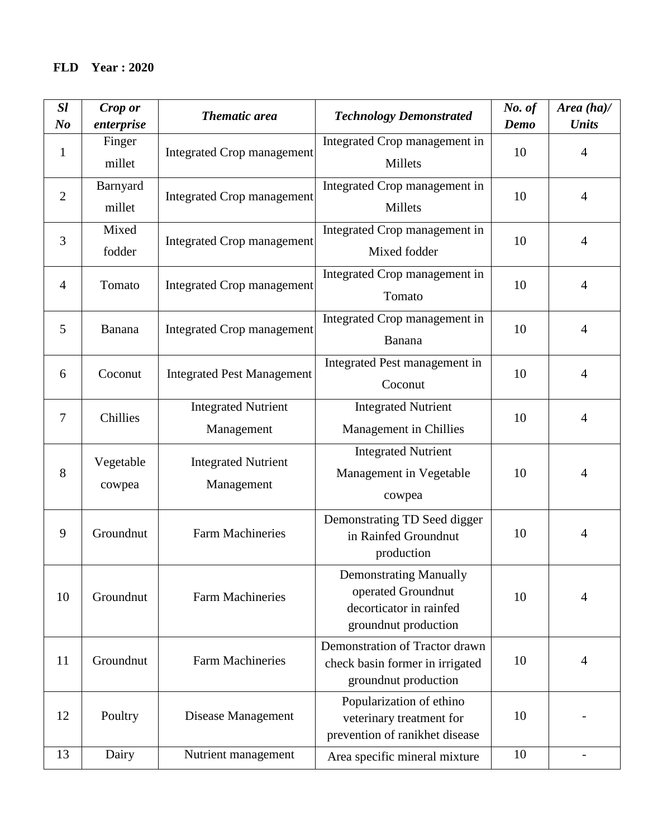| SI<br>N <sub>o</sub> | Crop or<br>enterprise | <b>Thematic area</b>                     | <b>Technology Demonstrated</b>                                                                         | No. of<br>Demo | Area $(ha)$ /<br><b>Units</b> |
|----------------------|-----------------------|------------------------------------------|--------------------------------------------------------------------------------------------------------|----------------|-------------------------------|
| $\mathbf{1}$         | Finger<br>millet      | <b>Integrated Crop management</b>        | Integrated Crop management in<br>Millets                                                               | 10             | $\overline{4}$                |
| $\overline{2}$       | Barnyard<br>millet    | <b>Integrated Crop management</b>        | Integrated Crop management in<br>Millets                                                               | 10             | $\overline{4}$                |
| 3                    | Mixed<br>fodder       | <b>Integrated Crop management</b>        | Integrated Crop management in<br>Mixed fodder                                                          | 10             | $\overline{4}$                |
| 4                    | Tomato                | <b>Integrated Crop management</b>        | Integrated Crop management in<br>Tomato                                                                | 10             | $\overline{4}$                |
| 5                    | Banana                | <b>Integrated Crop management</b>        | Integrated Crop management in<br>Banana                                                                | 10             | $\overline{4}$                |
| 6                    | Coconut               | <b>Integrated Pest Management</b>        | Integrated Pest management in<br>Coconut                                                               | 10             | $\overline{4}$                |
| 7                    | Chillies              | <b>Integrated Nutrient</b><br>Management | <b>Integrated Nutrient</b><br>Management in Chillies                                                   | 10             | $\overline{4}$                |
| 8                    | Vegetable<br>cowpea   | <b>Integrated Nutrient</b><br>Management | <b>Integrated Nutrient</b><br>Management in Vegetable<br>cowpea                                        | 10             | $\overline{4}$                |
| 9                    | Groundnut             | <b>Farm Machineries</b>                  | Demonstrating TD Seed digger<br>in Rainfed Groundnut<br>production                                     | 10             | $\overline{4}$                |
| 10                   | Groundnut             | <b>Farm Machineries</b>                  | <b>Demonstrating Manually</b><br>operated Groundnut<br>decorticator in rainfed<br>groundnut production | 10             | $\overline{4}$                |
| 11                   | Groundnut             | <b>Farm Machineries</b>                  | Demonstration of Tractor drawn<br>check basin former in irrigated<br>groundnut production              | 10             | $\overline{4}$                |
| 12                   | Poultry               | Disease Management                       | Popularization of ethino<br>veterinary treatment for<br>prevention of ranikhet disease                 | 10             |                               |
| 13                   | Dairy                 | Nutrient management                      | Area specific mineral mixture                                                                          | 10             |                               |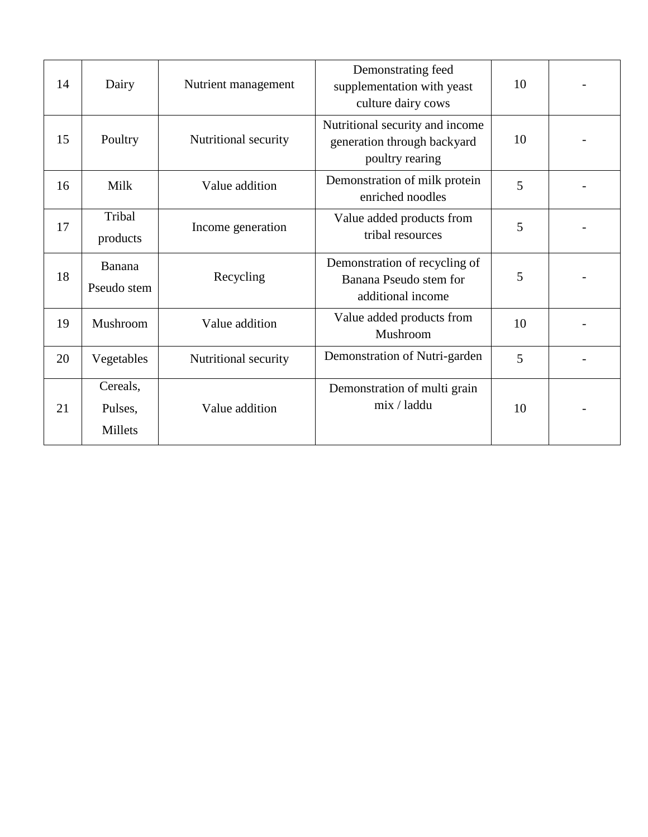| 14 | Dairy                          | Nutrient management  | Demonstrating feed<br>supplementation with yeast<br>culture dairy cows            | 10 |  |
|----|--------------------------------|----------------------|-----------------------------------------------------------------------------------|----|--|
| 15 | Poultry                        | Nutritional security | Nutritional security and income<br>generation through backyard<br>poultry rearing | 10 |  |
| 16 | Milk                           | Value addition       | Demonstration of milk protein<br>enriched noodles                                 | 5  |  |
| 17 | Tribal<br>products             | Income generation    | Value added products from<br>tribal resources                                     | 5  |  |
| 18 | Banana<br>Pseudo stem          | Recycling            | Demonstration of recycling of<br>Banana Pseudo stem for<br>additional income      | 5  |  |
| 19 | Mushroom                       | Value addition       | Value added products from<br>Mushroom                                             | 10 |  |
| 20 | Vegetables                     | Nutritional security | Demonstration of Nutri-garden                                                     | 5  |  |
| 21 | Cereals,<br>Pulses,<br>Millets | Value addition       | Demonstration of multi grain<br>mix / laddu                                       | 10 |  |